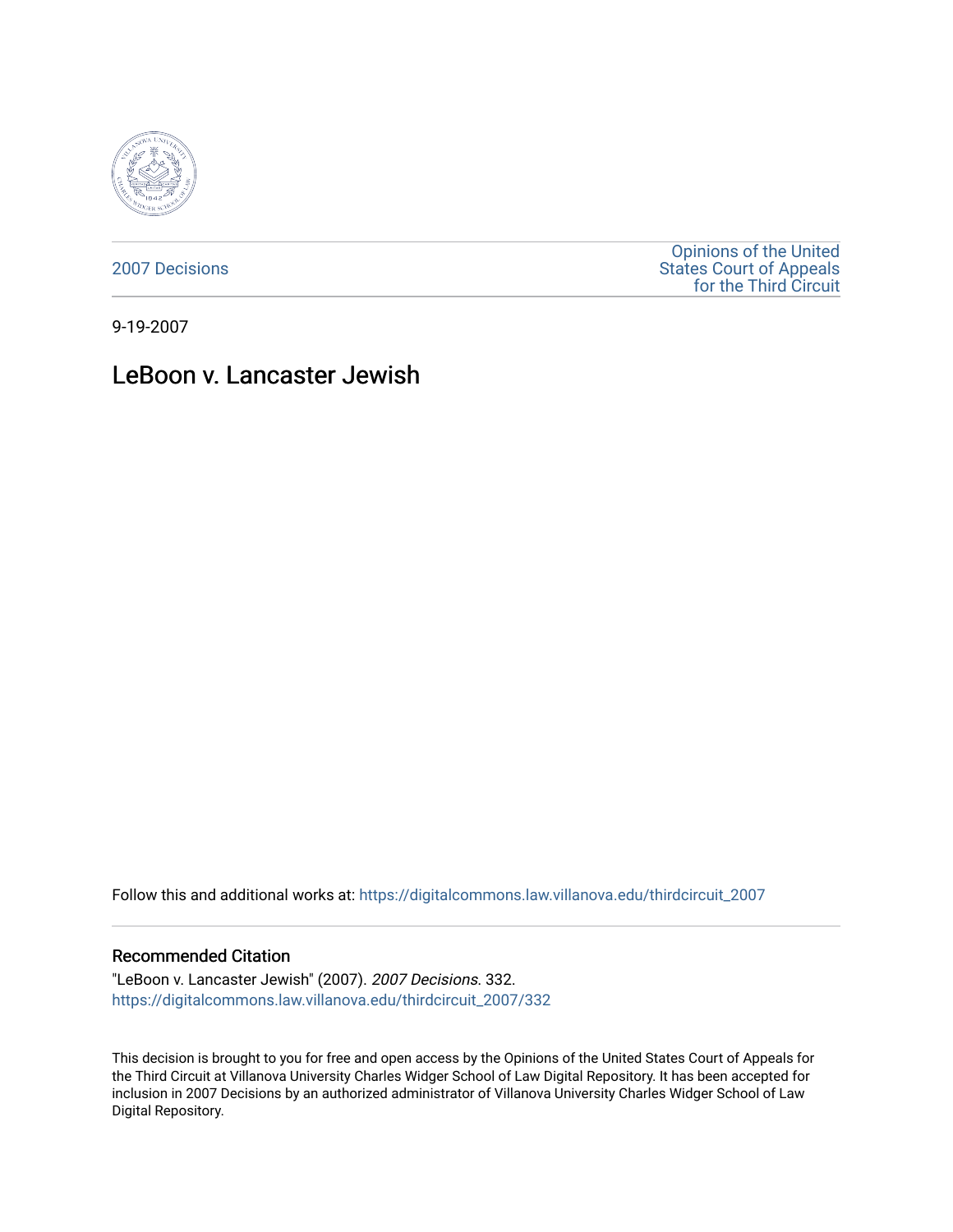

[2007 Decisions](https://digitalcommons.law.villanova.edu/thirdcircuit_2007)

[Opinions of the United](https://digitalcommons.law.villanova.edu/thirdcircuit)  [States Court of Appeals](https://digitalcommons.law.villanova.edu/thirdcircuit)  [for the Third Circuit](https://digitalcommons.law.villanova.edu/thirdcircuit) 

9-19-2007

# LeBoon v. Lancaster Jewish

Follow this and additional works at: [https://digitalcommons.law.villanova.edu/thirdcircuit\\_2007](https://digitalcommons.law.villanova.edu/thirdcircuit_2007?utm_source=digitalcommons.law.villanova.edu%2Fthirdcircuit_2007%2F332&utm_medium=PDF&utm_campaign=PDFCoverPages) 

#### Recommended Citation

"LeBoon v. Lancaster Jewish" (2007). 2007 Decisions. 332. [https://digitalcommons.law.villanova.edu/thirdcircuit\\_2007/332](https://digitalcommons.law.villanova.edu/thirdcircuit_2007/332?utm_source=digitalcommons.law.villanova.edu%2Fthirdcircuit_2007%2F332&utm_medium=PDF&utm_campaign=PDFCoverPages)

This decision is brought to you for free and open access by the Opinions of the United States Court of Appeals for the Third Circuit at Villanova University Charles Widger School of Law Digital Repository. It has been accepted for inclusion in 2007 Decisions by an authorized administrator of Villanova University Charles Widger School of Law Digital Repository.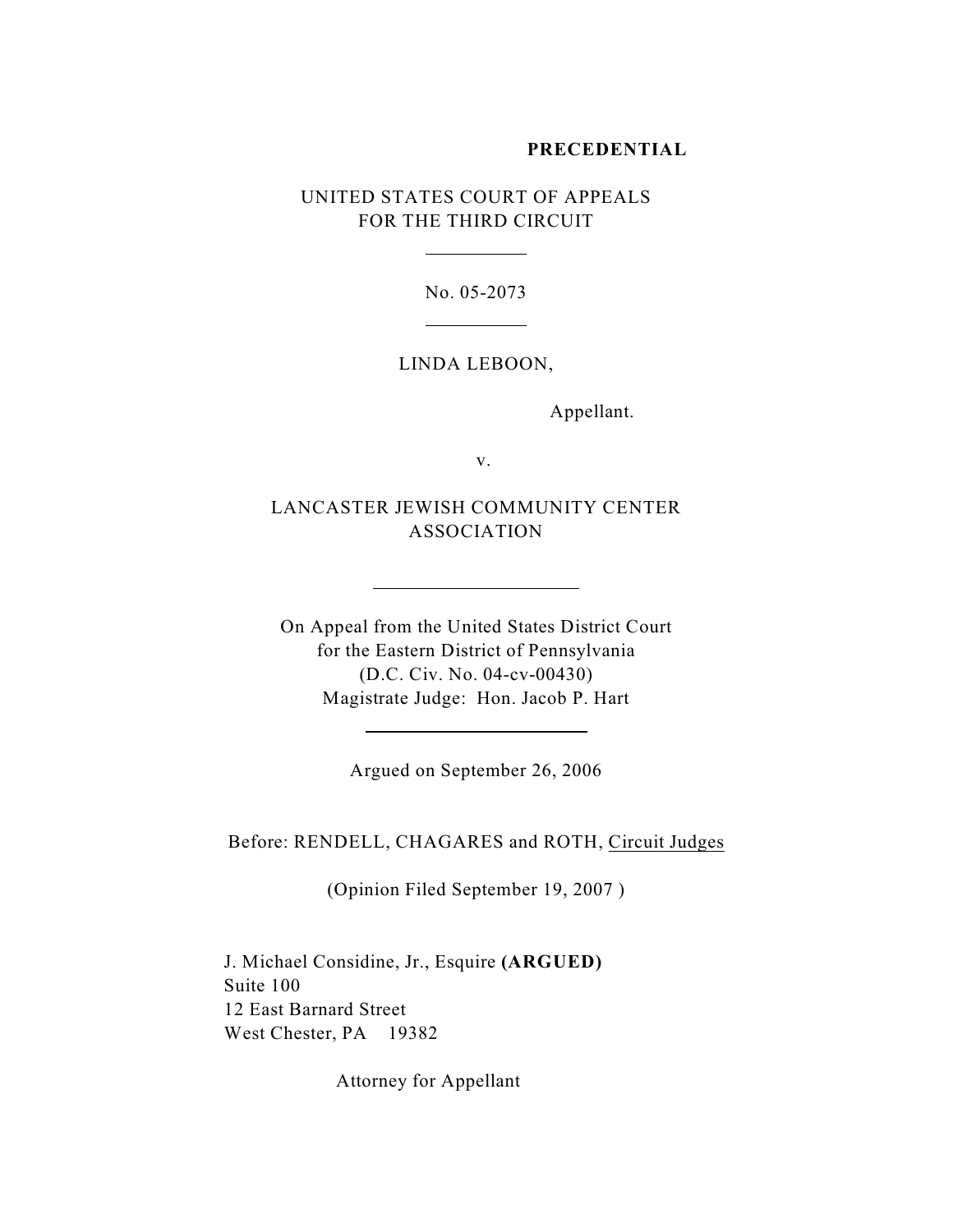# **PRECEDENTIAL**

UNITED STATES COURT OF APPEALS FOR THE THIRD CIRCUIT

 $\overline{a}$ 

 $\overline{a}$ 

l

 $\overline{a}$ 

No. 05-2073

#### LINDA LEBOON,

Appellant.

v.

LANCASTER JEWISH COMMUNITY CENTER ASSOCIATION

On Appeal from the United States District Court for the Eastern District of Pennsylvania (D.C. Civ. No. 04-cv-00430) Magistrate Judge: Hon. Jacob P. Hart

Argued on September 26, 2006

Before: RENDELL, CHAGARES and ROTH, Circuit Judges

(Opinion Filed September 19, 2007 )

J. Michael Considine, Jr., Esquire **(ARGUED)** Suite 100 12 East Barnard Street West Chester, PA 19382

Attorney for Appellant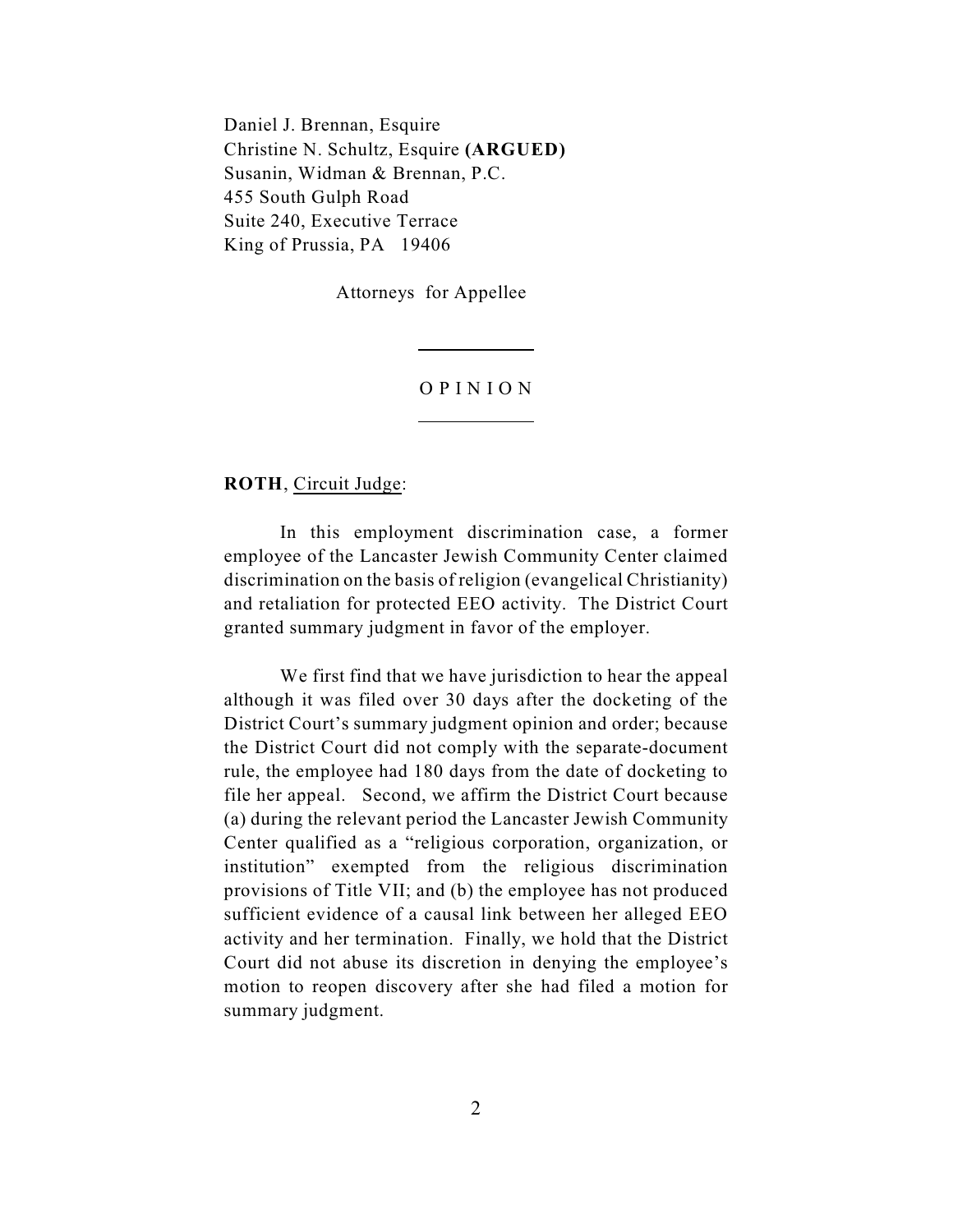Daniel J. Brennan, Esquire Christine N. Schultz, Esquire **(ARGUED)** Susanin, Widman & Brennan, P.C. 455 South Gulph Road Suite 240, Executive Terrace King of Prussia, PA 19406

Attorneys for Appellee

 $\overline{a}$ 

 $\overline{a}$ 

## O P I N I O N

**ROTH**, Circuit Judge:

In this employment discrimination case, a former employee of the Lancaster Jewish Community Center claimed discrimination on the basis of religion (evangelical Christianity) and retaliation for protected EEO activity. The District Court granted summary judgment in favor of the employer.

We first find that we have jurisdiction to hear the appeal although it was filed over 30 days after the docketing of the District Court's summary judgment opinion and order; because the District Court did not comply with the separate-document rule, the employee had 180 days from the date of docketing to file her appeal. Second, we affirm the District Court because (a) during the relevant period the Lancaster Jewish Community Center qualified as a "religious corporation, organization, or institution" exempted from the religious discrimination provisions of Title VII; and (b) the employee has not produced sufficient evidence of a causal link between her alleged EEO activity and her termination. Finally, we hold that the District Court did not abuse its discretion in denying the employee's motion to reopen discovery after she had filed a motion for summary judgment.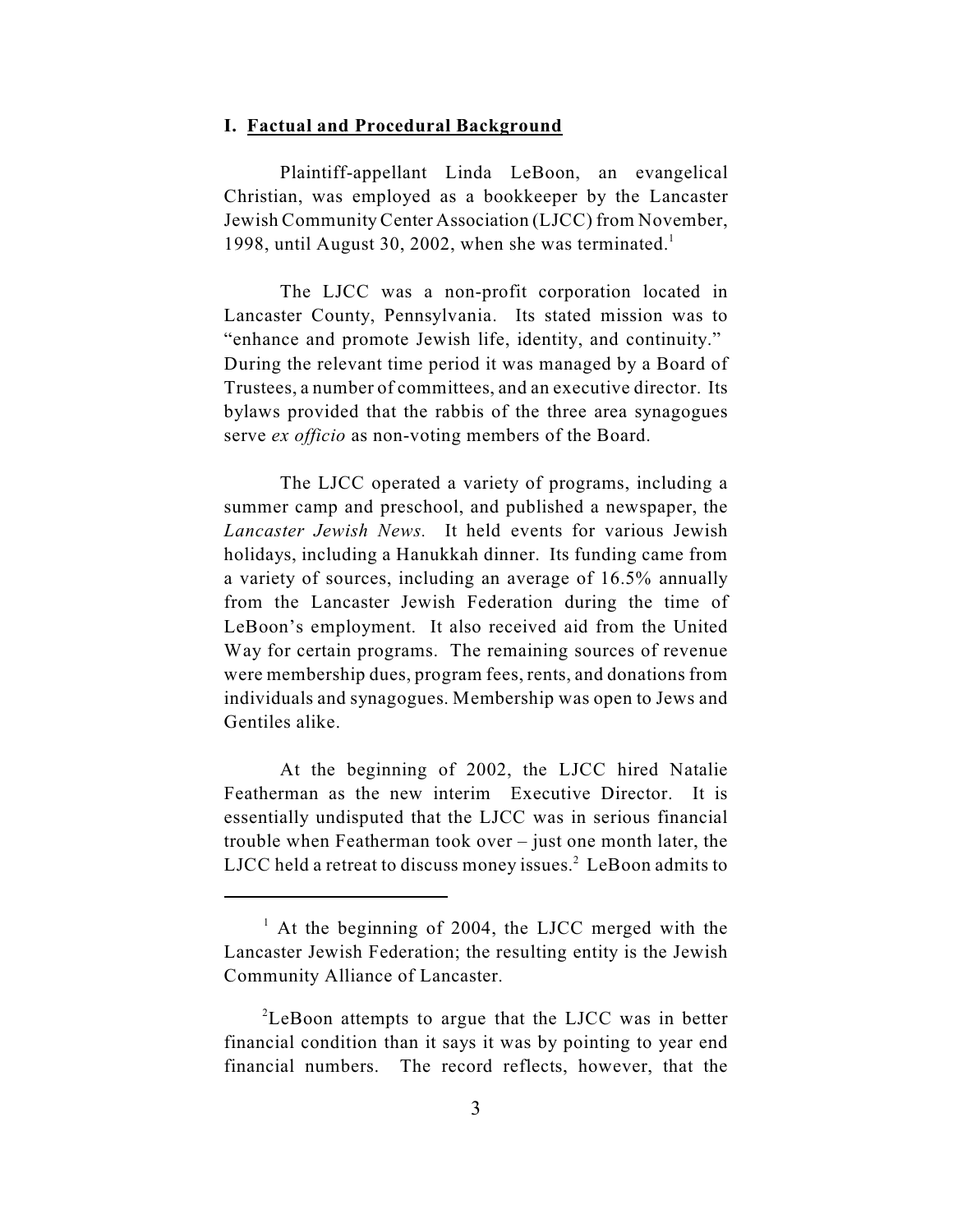### **I. Factual and Procedural Background**

Plaintiff-appellant Linda LeBoon, an evangelical Christian, was employed as a bookkeeper by the Lancaster Jewish Community Center Association (LJCC) from November, 1998, until August 30, 2002, when she was terminated.<sup>1</sup>

The LJCC was a non-profit corporation located in Lancaster County, Pennsylvania. Its stated mission was to "enhance and promote Jewish life, identity, and continuity." During the relevant time period it was managed by a Board of Trustees, a number of committees, and an executive director. Its bylaws provided that the rabbis of the three area synagogues serve *ex officio* as non-voting members of the Board.

The LJCC operated a variety of programs, including a summer camp and preschool, and published a newspaper, the *Lancaster Jewish News.* It held events for various Jewish holidays, including a Hanukkah dinner. Its funding came from a variety of sources, including an average of 16.5% annually from the Lancaster Jewish Federation during the time of LeBoon's employment. It also received aid from the United Way for certain programs. The remaining sources of revenue were membership dues, program fees, rents, and donations from individuals and synagogues. Membership was open to Jews and Gentiles alike.

At the beginning of 2002, the LJCC hired Natalie Featherman as the new interim Executive Director. It is essentially undisputed that the LJCC was in serious financial trouble when Featherman took over – just one month later, the LJCC held a retreat to discuss money issues. $2$  LeBoon admits to

 $^1$  At the beginning of 2004, the LJCC merged with the Lancaster Jewish Federation; the resulting entity is the Jewish Community Alliance of Lancaster.

 ${}^{2}$ LeBoon attempts to argue that the LJCC was in better financial condition than it says it was by pointing to year end financial numbers. The record reflects, however, that the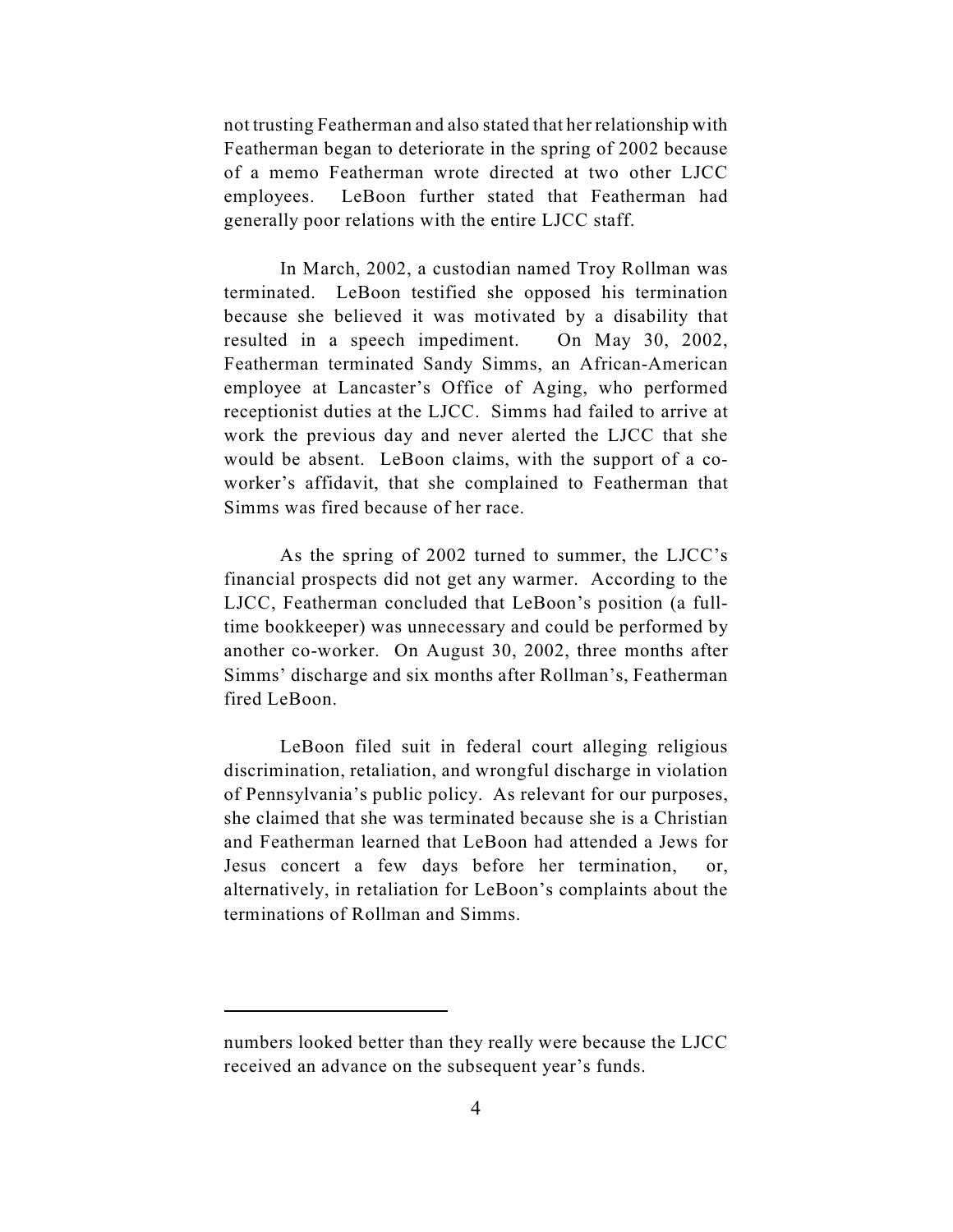not trusting Featherman and also stated that her relationship with Featherman began to deteriorate in the spring of 2002 because of a memo Featherman wrote directed at two other LJCC employees. LeBoon further stated that Featherman had generally poor relations with the entire LJCC staff.

In March, 2002, a custodian named Troy Rollman was terminated. LeBoon testified she opposed his termination because she believed it was motivated by a disability that resulted in a speech impediment. On May 30, 2002, Featherman terminated Sandy Simms, an African-American employee at Lancaster's Office of Aging, who performed receptionist duties at the LJCC. Simms had failed to arrive at work the previous day and never alerted the LJCC that she would be absent. LeBoon claims, with the support of a coworker's affidavit, that she complained to Featherman that Simms was fired because of her race.

As the spring of 2002 turned to summer, the LJCC's financial prospects did not get any warmer. According to the LJCC, Featherman concluded that LeBoon's position (a fulltime bookkeeper) was unnecessary and could be performed by another co-worker. On August 30, 2002, three months after Simms' discharge and six months after Rollman's, Featherman fired LeBoon.

LeBoon filed suit in federal court alleging religious discrimination, retaliation, and wrongful discharge in violation of Pennsylvania's public policy. As relevant for our purposes, she claimed that she was terminated because she is a Christian and Featherman learned that LeBoon had attended a Jews for Jesus concert a few days before her termination, or, alternatively, in retaliation for LeBoon's complaints about the terminations of Rollman and Simms.

numbers looked better than they really were because the LJCC received an advance on the subsequent year's funds.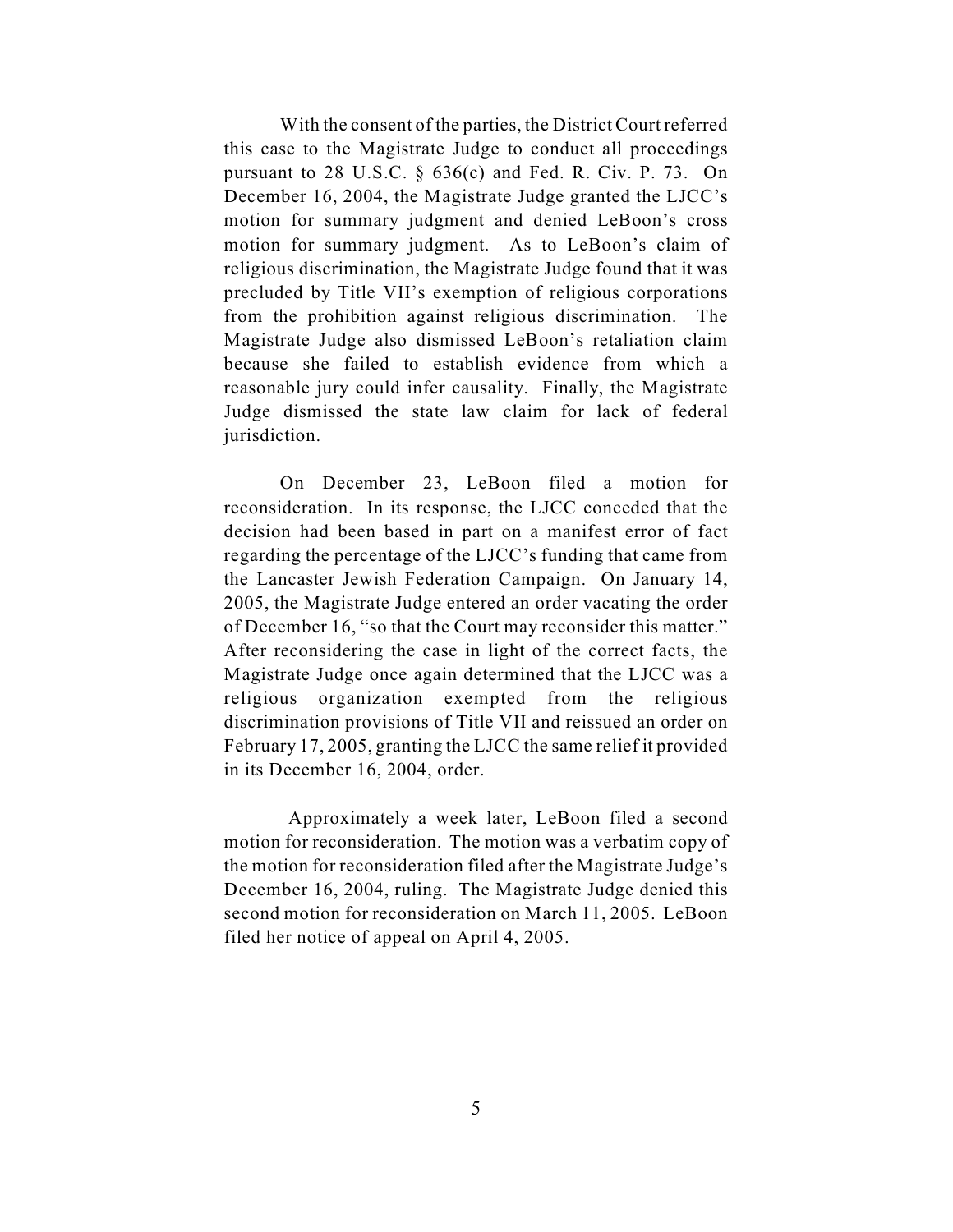With the consent of the parties, the District Court referred this case to the Magistrate Judge to conduct all proceedings pursuant to 28 U.S.C. § 636(c) and Fed. R. Civ. P. 73. On December 16, 2004, the Magistrate Judge granted the LJCC's motion for summary judgment and denied LeBoon's cross motion for summary judgment. As to LeBoon's claim of religious discrimination, the Magistrate Judge found that it was precluded by Title VII's exemption of religious corporations from the prohibition against religious discrimination. The Magistrate Judge also dismissed LeBoon's retaliation claim because she failed to establish evidence from which a reasonable jury could infer causality. Finally, the Magistrate Judge dismissed the state law claim for lack of federal jurisdiction.

On December 23, LeBoon filed a motion for reconsideration. In its response, the LJCC conceded that the decision had been based in part on a manifest error of fact regarding the percentage of the LJCC's funding that came from the Lancaster Jewish Federation Campaign. On January 14, 2005, the Magistrate Judge entered an order vacating the order of December 16, "so that the Court may reconsider this matter." After reconsidering the case in light of the correct facts, the Magistrate Judge once again determined that the LJCC was a religious organization exempted from the religious discrimination provisions of Title VII and reissued an order on February 17, 2005, granting the LJCC the same relief it provided in its December 16, 2004, order.

 Approximately a week later, LeBoon filed a second motion for reconsideration. The motion was a verbatim copy of the motion for reconsideration filed after the Magistrate Judge's December 16, 2004, ruling. The Magistrate Judge denied this second motion for reconsideration on March 11, 2005. LeBoon filed her notice of appeal on April 4, 2005.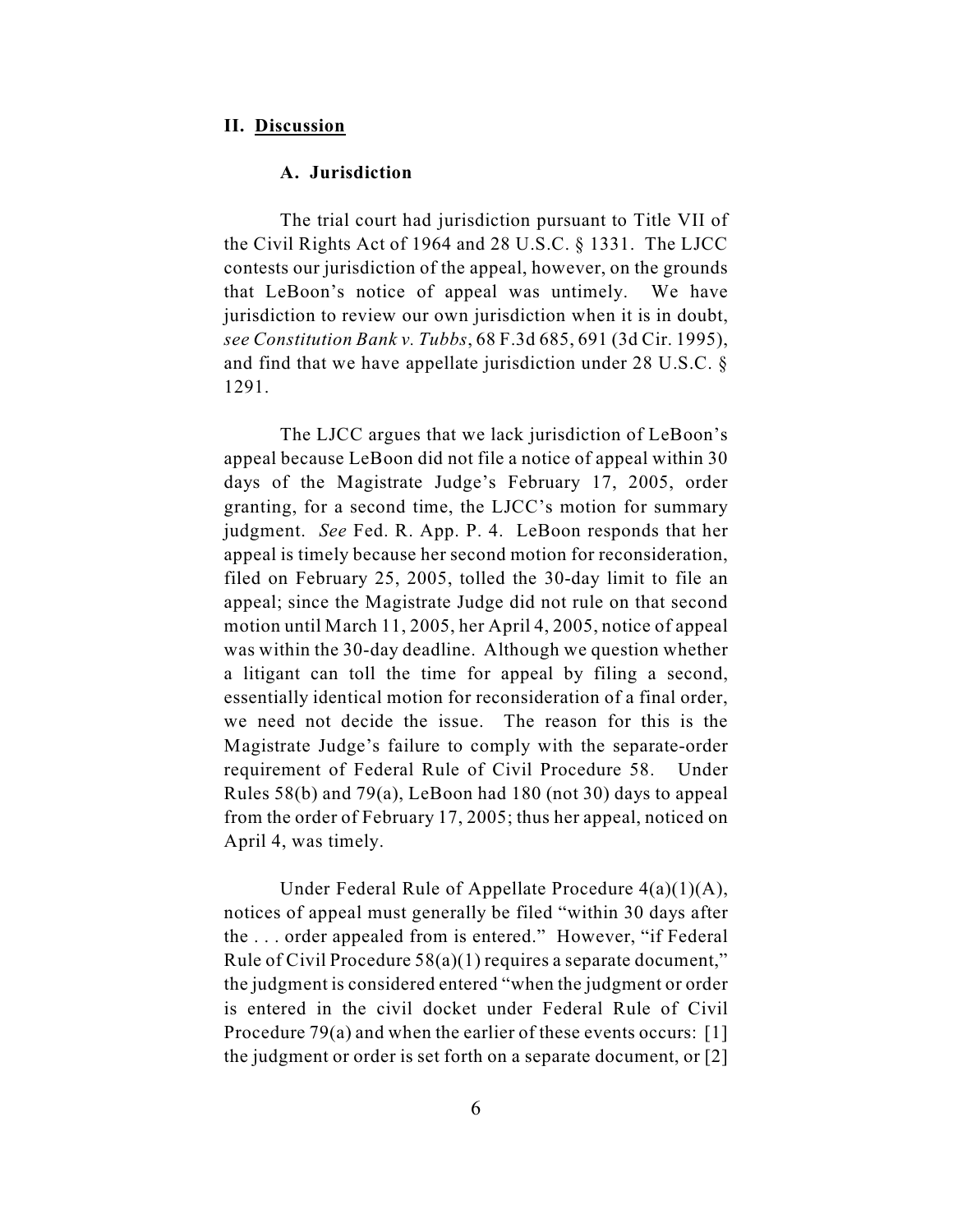#### **II. Discussion**

#### **A. Jurisdiction**

The trial court had jurisdiction pursuant to Title VII of the Civil Rights Act of 1964 and 28 U.S.C. § 1331. The LJCC contests our jurisdiction of the appeal, however, on the grounds that LeBoon's notice of appeal was untimely. We have jurisdiction to review our own jurisdiction when it is in doubt, *see Constitution Bank v. Tubbs*, 68 F.3d 685, 691 (3d Cir. 1995), and find that we have appellate jurisdiction under 28 U.S.C. § 1291.

The LJCC argues that we lack jurisdiction of LeBoon's appeal because LeBoon did not file a notice of appeal within 30 days of the Magistrate Judge's February 17, 2005, order granting, for a second time, the LJCC's motion for summary judgment. *See* Fed. R. App. P. 4. LeBoon responds that her appeal is timely because her second motion for reconsideration, filed on February 25, 2005, tolled the 30-day limit to file an appeal; since the Magistrate Judge did not rule on that second motion until March 11, 2005, her April 4, 2005, notice of appeal was within the 30-day deadline. Although we question whether a litigant can toll the time for appeal by filing a second, essentially identical motion for reconsideration of a final order, we need not decide the issue. The reason for this is the Magistrate Judge's failure to comply with the separate-order requirement of Federal Rule of Civil Procedure 58. Under Rules 58(b) and 79(a), LeBoon had 180 (not 30) days to appeal from the order of February 17, 2005; thus her appeal, noticed on April 4, was timely.

Under Federal Rule of Appellate Procedure 4(a)(1)(A), notices of appeal must generally be filed "within 30 days after the . . . order appealed from is entered." However, "if Federal Rule of Civil Procedure 58(a)(1) requires a separate document," the judgment is considered entered "when the judgment or order is entered in the civil docket under Federal Rule of Civil Procedure 79(a) and when the earlier of these events occurs: [1] the judgment or order is set forth on a separate document, or [2]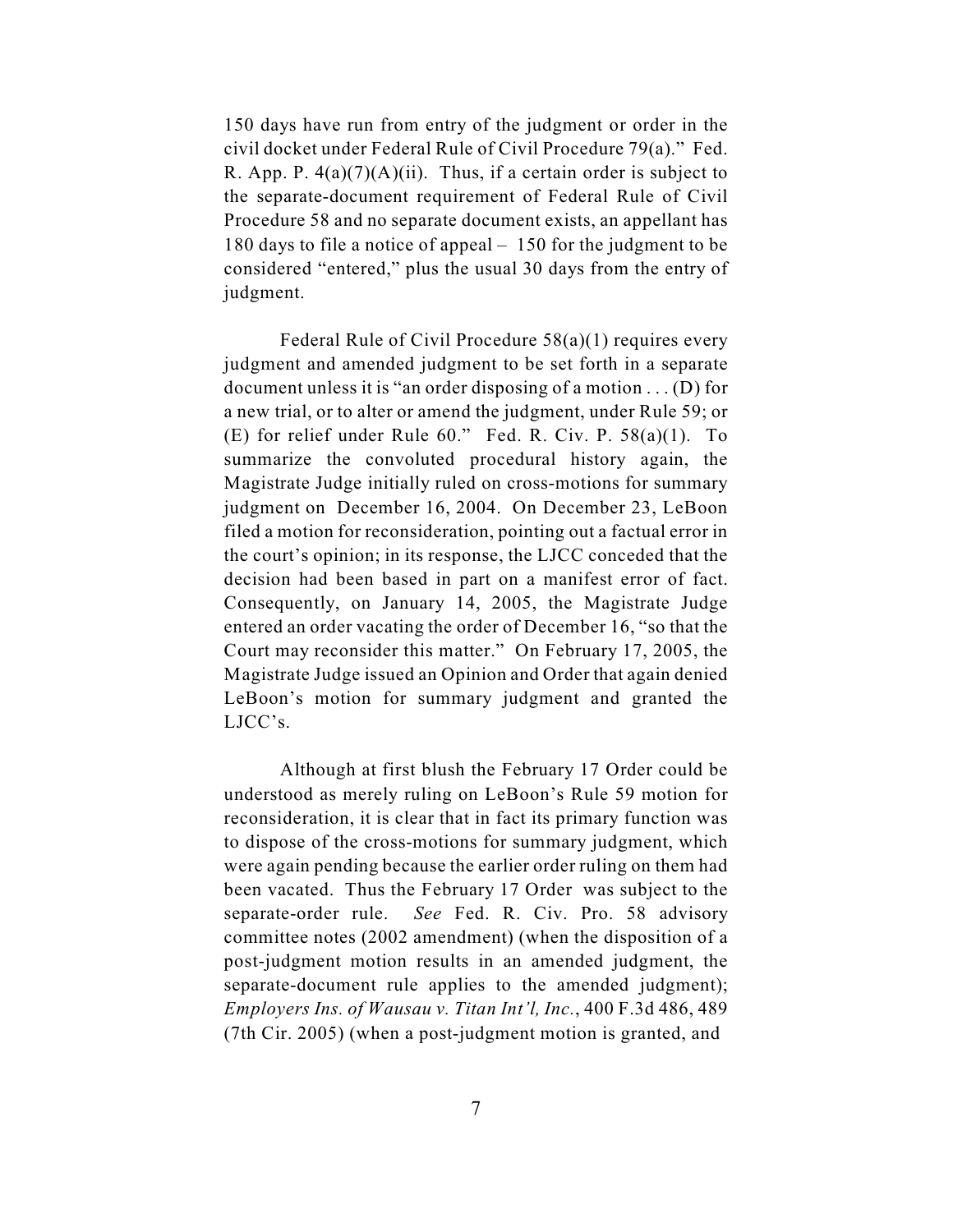150 days have run from entry of the judgment or order in the civil docket under Federal Rule of Civil Procedure 79(a)." Fed. R. App. P.  $4(a)(7)(A)(ii)$ . Thus, if a certain order is subject to the separate-document requirement of Federal Rule of Civil Procedure 58 and no separate document exists, an appellant has 180 days to file a notice of appeal – 150 for the judgment to be considered "entered," plus the usual 30 days from the entry of judgment.

Federal Rule of Civil Procedure 58(a)(1) requires every judgment and amended judgment to be set forth in a separate document unless it is "an order disposing of a motion . . . (D) for a new trial, or to alter or amend the judgment, under Rule 59; or (E) for relief under Rule 60." Fed. R. Civ. P. 58(a)(1). To summarize the convoluted procedural history again, the Magistrate Judge initially ruled on cross-motions for summary judgment on December 16, 2004. On December 23, LeBoon filed a motion for reconsideration, pointing out a factual error in the court's opinion; in its response, the LJCC conceded that the decision had been based in part on a manifest error of fact. Consequently, on January 14, 2005, the Magistrate Judge entered an order vacating the order of December 16, "so that the Court may reconsider this matter." On February 17, 2005, the Magistrate Judge issued an Opinion and Order that again denied LeBoon's motion for summary judgment and granted the LJCC's.

Although at first blush the February 17 Order could be understood as merely ruling on LeBoon's Rule 59 motion for reconsideration, it is clear that in fact its primary function was to dispose of the cross-motions for summary judgment, which were again pending because the earlier order ruling on them had been vacated. Thus the February 17 Order was subject to the separate-order rule. *See* Fed. R. Civ. Pro. 58 advisory committee notes (2002 amendment) (when the disposition of a post-judgment motion results in an amended judgment, the separate-document rule applies to the amended judgment); *Employers Ins. of Wausau v. Titan Int'l, Inc.*, 400 F.3d 486, 489 (7th Cir. 2005) (when a post-judgment motion is granted, and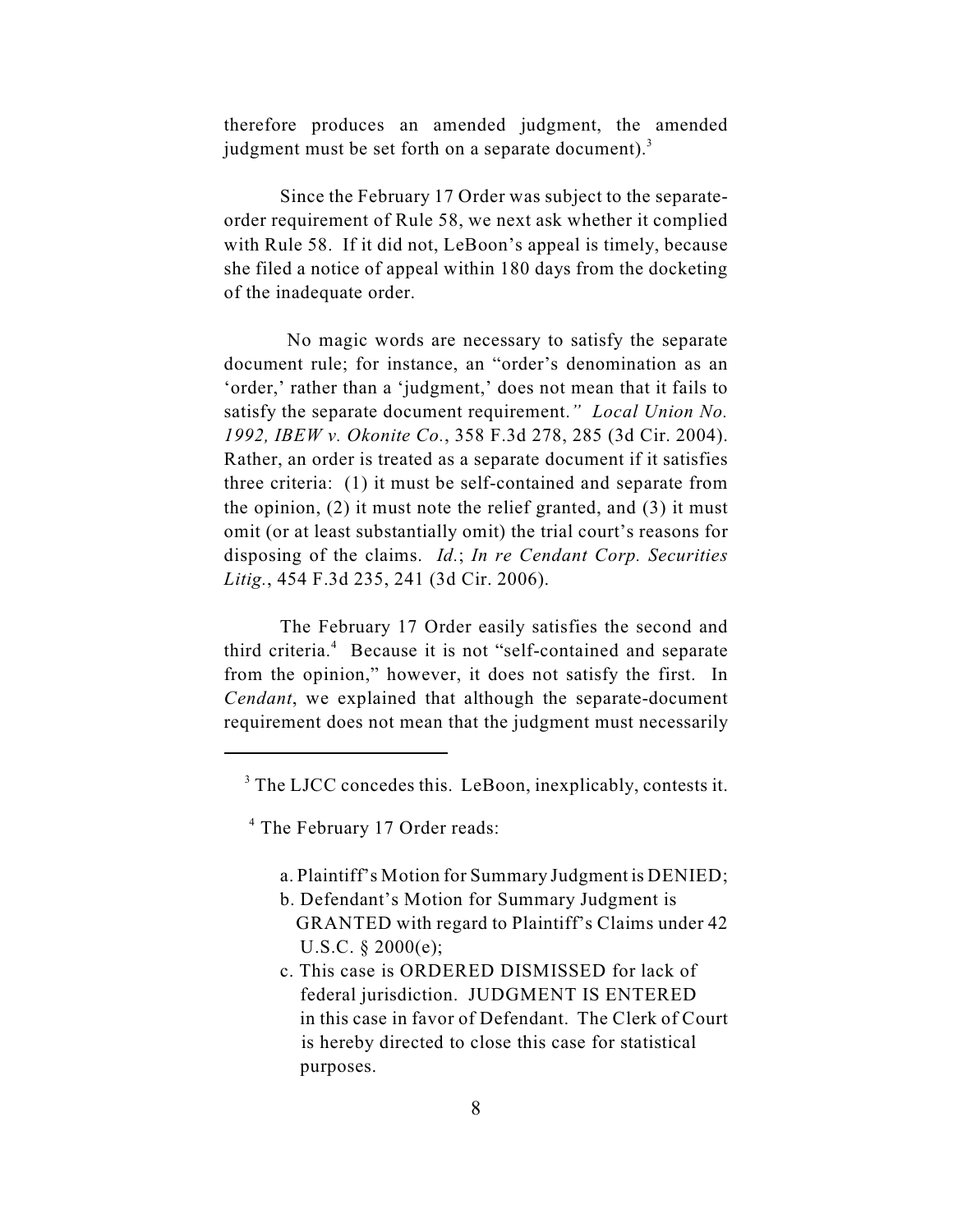therefore produces an amended judgment, the amended judgment must be set forth on a separate document).<sup>3</sup>

Since the February 17 Order was subject to the separateorder requirement of Rule 58, we next ask whether it complied with Rule 58. If it did not, LeBoon's appeal is timely, because she filed a notice of appeal within 180 days from the docketing of the inadequate order.

 No magic words are necessary to satisfy the separate document rule; for instance, an "order's denomination as an 'order,' rather than a 'judgment,' does not mean that it fails to satisfy the separate document requirement.*" Local Union No. 1992, IBEW v. Okonite Co.*, 358 F.3d 278, 285 (3d Cir. 2004). Rather, an order is treated as a separate document if it satisfies three criteria: (1) it must be self-contained and separate from the opinion, (2) it must note the relief granted, and (3) it must omit (or at least substantially omit) the trial court's reasons for disposing of the claims. *Id.*; *In re Cendant Corp. Securities Litig.*, 454 F.3d 235, 241 (3d Cir. 2006).

The February 17 Order easily satisfies the second and third criteria.<sup>4</sup> Because it is not "self-contained and separate from the opinion," however, it does not satisfy the first. In *Cendant*, we explained that although the separate-document requirement does not mean that the judgment must necessarily

- a. Plaintiff's Motion for Summary Judgment is DENIED;
- b. Defendant's Motion for Summary Judgment is GRANTED with regard to Plaintiff's Claims under 42 U.S.C. § 2000(e);
- c. This case is ORDERED DISMISSED for lack of federal jurisdiction. JUDGMENT IS ENTERED in this case in favor of Defendant. The Clerk of Court is hereby directed to close this case for statistical purposes.

<sup>&</sup>lt;sup>3</sup> The LJCC concedes this. LeBoon, inexplicably, contests it.

<sup>&</sup>lt;sup>4</sup> The February 17 Order reads: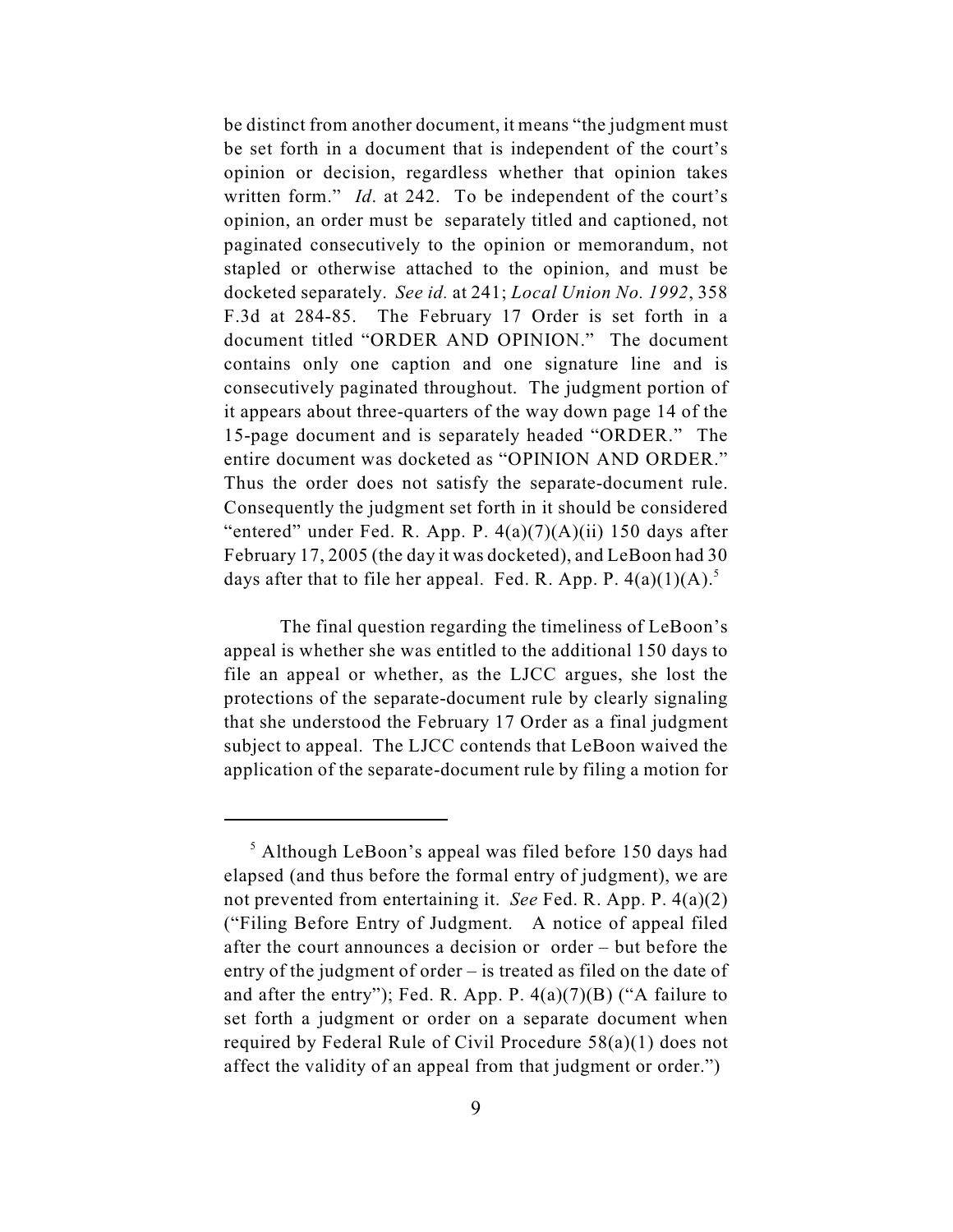be distinct from another document, it means "the judgment must be set forth in a document that is independent of the court's opinion or decision, regardless whether that opinion takes written form." *Id*. at 242. To be independent of the court's opinion, an order must be separately titled and captioned, not paginated consecutively to the opinion or memorandum, not stapled or otherwise attached to the opinion, and must be docketed separately. *See id.* at 241; *Local Union No. 1992*, 358 F.3d at 284-85. The February 17 Order is set forth in a document titled "ORDER AND OPINION." The document contains only one caption and one signature line and is consecutively paginated throughout. The judgment portion of it appears about three-quarters of the way down page 14 of the 15-page document and is separately headed "ORDER." The entire document was docketed as "OPINION AND ORDER." Thus the order does not satisfy the separate-document rule. Consequently the judgment set forth in it should be considered "entered" under Fed. R. App. P.  $4(a)(7)(A)(ii)$  150 days after February 17, 2005 (the day it was docketed), and LeBoon had 30 days after that to file her appeal. Fed. R. App. P.  $4(a)(1)(A)$ .<sup>5</sup>

The final question regarding the timeliness of LeBoon's appeal is whether she was entitled to the additional 150 days to file an appeal or whether, as the LJCC argues, she lost the protections of the separate-document rule by clearly signaling that she understood the February 17 Order as a final judgment subject to appeal. The LJCC contends that LeBoon waived the application of the separate-document rule by filing a motion for

 $<sup>5</sup>$  Although LeBoon's appeal was filed before 150 days had</sup> elapsed (and thus before the formal entry of judgment), we are not prevented from entertaining it. *See* Fed. R. App. P. 4(a)(2) ("Filing Before Entry of Judgment. A notice of appeal filed after the court announces a decision or order – but before the entry of the judgment of order – is treated as filed on the date of and after the entry"); Fed. R. App. P.  $4(a)(7)(B)$  ("A failure to set forth a judgment or order on a separate document when required by Federal Rule of Civil Procedure 58(a)(1) does not affect the validity of an appeal from that judgment or order.")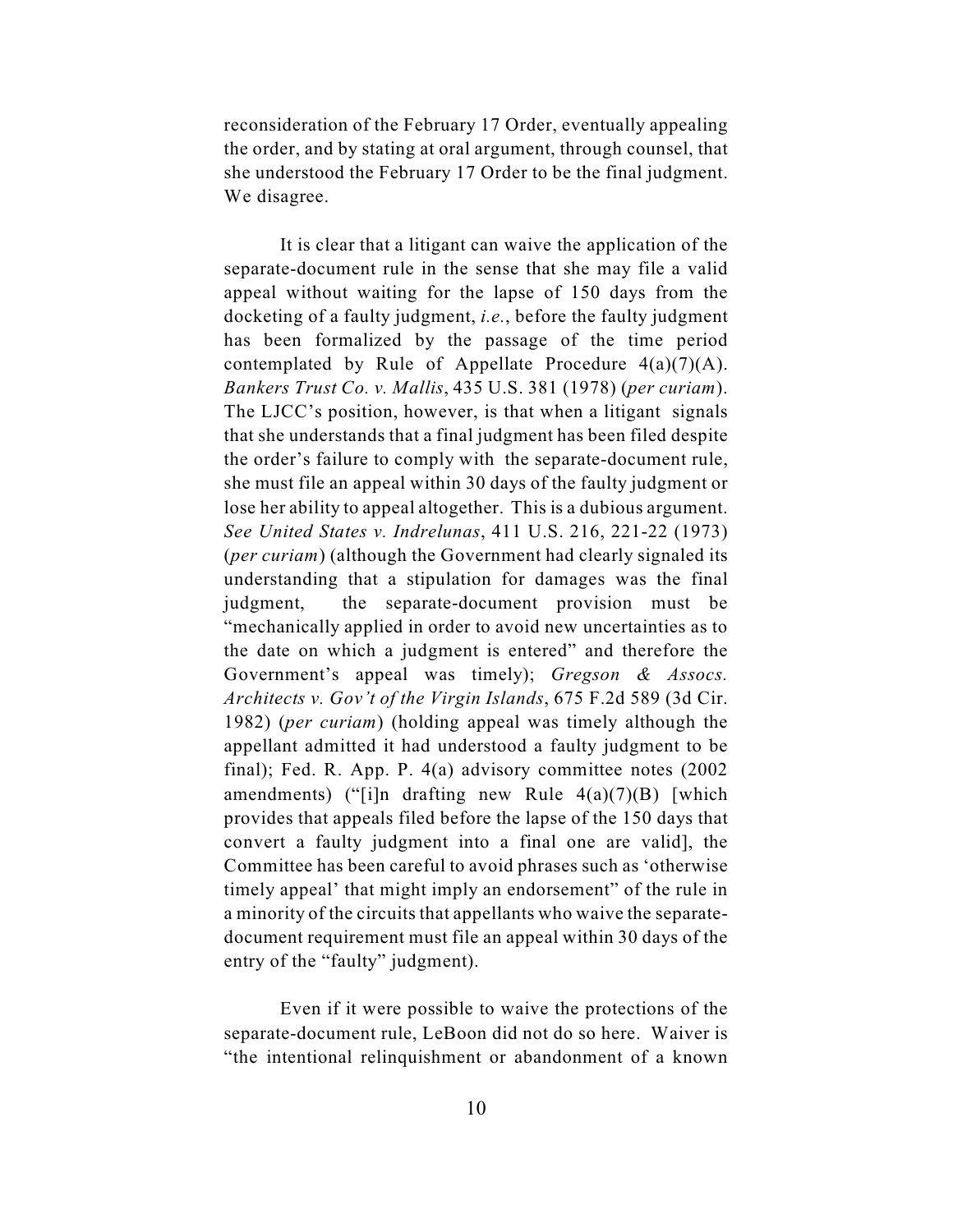reconsideration of the February 17 Order, eventually appealing the order, and by stating at oral argument, through counsel, that she understood the February 17 Order to be the final judgment. We disagree.

It is clear that a litigant can waive the application of the separate-document rule in the sense that she may file a valid appeal without waiting for the lapse of 150 days from the docketing of a faulty judgment, *i.e.*, before the faulty judgment has been formalized by the passage of the time period contemplated by Rule of Appellate Procedure  $4(a)(7)(A)$ . *Bankers Trust Co. v. Mallis*, 435 U.S. 381 (1978) (*per curiam*). The LJCC's position, however, is that when a litigant signals that she understands that a final judgment has been filed despite the order's failure to comply with the separate-document rule, she must file an appeal within 30 days of the faulty judgment or lose her ability to appeal altogether. This is a dubious argument. *See United States v. Indrelunas*, 411 U.S. 216, 221-22 (1973) (*per curiam*) (although the Government had clearly signaled its understanding that a stipulation for damages was the final judgment, the separate-document provision must be "mechanically applied in order to avoid new uncertainties as to the date on which a judgment is entered" and therefore the Government's appeal was timely); *Gregson & Assocs. Architects v. Gov't of the Virgin Islands*, 675 F.2d 589 (3d Cir. 1982) (*per curiam*) (holding appeal was timely although the appellant admitted it had understood a faulty judgment to be final); Fed. R. App. P. 4(a) advisory committee notes (2002 amendments) ("[i]n drafting new Rule  $4(a)(7)(B)$  [which provides that appeals filed before the lapse of the 150 days that convert a faulty judgment into a final one are valid], the Committee has been careful to avoid phrases such as 'otherwise timely appeal' that might imply an endorsement" of the rule in a minority of the circuits that appellants who waive the separatedocument requirement must file an appeal within 30 days of the entry of the "faulty" judgment).

Even if it were possible to waive the protections of the separate-document rule, LeBoon did not do so here. Waiver is "the intentional relinquishment or abandonment of a known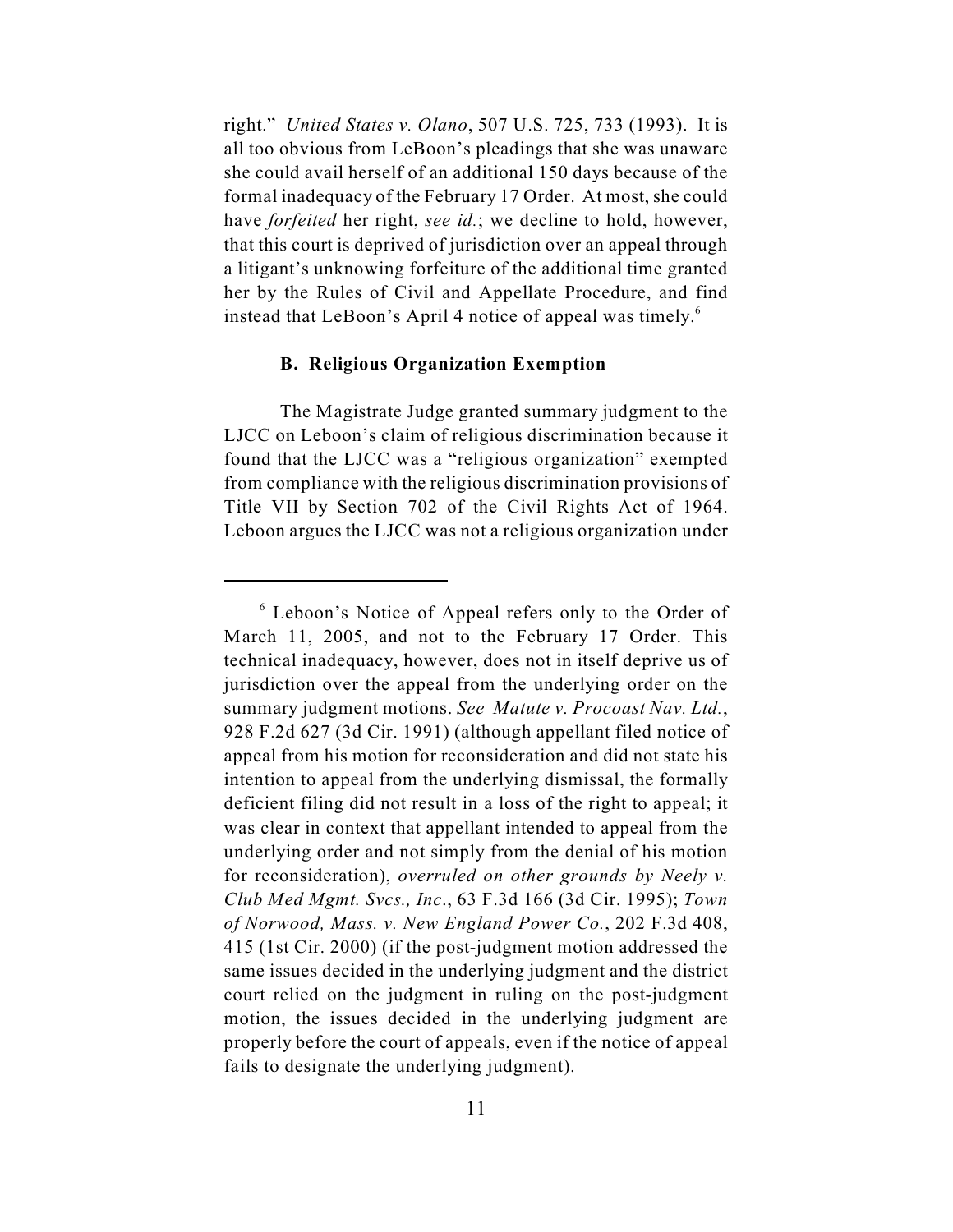right." *United States v. Olano*, 507 U.S. 725, 733 (1993). It is all too obvious from LeBoon's pleadings that she was unaware she could avail herself of an additional 150 days because of the formal inadequacy of the February 17 Order. At most, she could have *forfeited* her right, *see id.*; we decline to hold, however, that this court is deprived of jurisdiction over an appeal through a litigant's unknowing forfeiture of the additional time granted her by the Rules of Civil and Appellate Procedure, and find instead that LeBoon's April 4 notice of appeal was timely.<sup>6</sup>

# **B. Religious Organization Exemption**

The Magistrate Judge granted summary judgment to the LJCC on Leboon's claim of religious discrimination because it found that the LJCC was a "religious organization" exempted from compliance with the religious discrimination provisions of Title VII by Section 702 of the Civil Rights Act of 1964. Leboon argues the LJCC was not a religious organization under

 $6$  Leboon's Notice of Appeal refers only to the Order of March 11, 2005, and not to the February 17 Order. This technical inadequacy, however, does not in itself deprive us of jurisdiction over the appeal from the underlying order on the summary judgment motions. *See Matute v. Procoast Nav. Ltd.*, 928 F.2d 627 (3d Cir. 1991) (although appellant filed notice of appeal from his motion for reconsideration and did not state his intention to appeal from the underlying dismissal, the formally deficient filing did not result in a loss of the right to appeal; it was clear in context that appellant intended to appeal from the underlying order and not simply from the denial of his motion for reconsideration), *overruled on other grounds by Neely v. Club Med Mgmt. Svcs., Inc*., 63 F.3d 166 (3d Cir. 1995); *Town of Norwood, Mass. v. New England Power Co.*, 202 F.3d 408, 415 (1st Cir. 2000) (if the post-judgment motion addressed the same issues decided in the underlying judgment and the district court relied on the judgment in ruling on the post-judgment motion, the issues decided in the underlying judgment are properly before the court of appeals, even if the notice of appeal fails to designate the underlying judgment).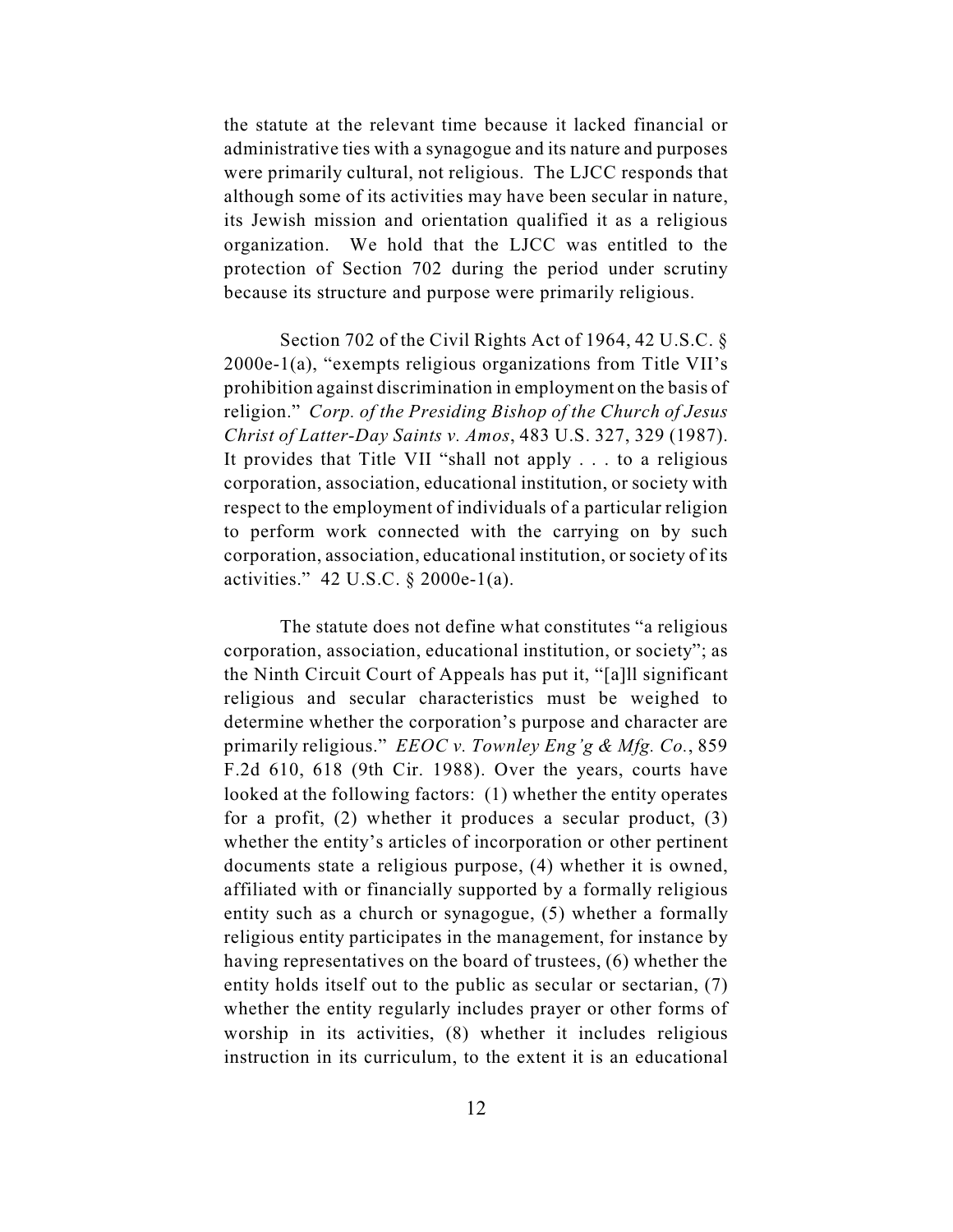the statute at the relevant time because it lacked financial or administrative ties with a synagogue and its nature and purposes were primarily cultural, not religious. The LJCC responds that although some of its activities may have been secular in nature, its Jewish mission and orientation qualified it as a religious organization. We hold that the LJCC was entitled to the protection of Section 702 during the period under scrutiny because its structure and purpose were primarily religious.

Section 702 of the Civil Rights Act of 1964, 42 U.S.C. § 2000e-1(a), "exempts religious organizations from Title VII's prohibition against discrimination in employment on the basis of religion." *Corp. of the Presiding Bishop of the Church of Jesus Christ of Latter-Day Saints v. Amos*, 483 U.S. 327, 329 (1987). It provides that Title VII "shall not apply . . . to a religious corporation, association, educational institution, or society with respect to the employment of individuals of a particular religion to perform work connected with the carrying on by such corporation, association, educational institution, or society of its activities." 42 U.S.C. § 2000e-1(a).

The statute does not define what constitutes "a religious corporation, association, educational institution, or society"; as the Ninth Circuit Court of Appeals has put it, "[a]ll significant religious and secular characteristics must be weighed to determine whether the corporation's purpose and character are primarily religious." *EEOC v. Townley Eng'g & Mfg. Co.*, 859 F.2d 610, 618 (9th Cir. 1988). Over the years, courts have looked at the following factors: (1) whether the entity operates for a profit, (2) whether it produces a secular product, (3) whether the entity's articles of incorporation or other pertinent documents state a religious purpose, (4) whether it is owned, affiliated with or financially supported by a formally religious entity such as a church or synagogue, (5) whether a formally religious entity participates in the management, for instance by having representatives on the board of trustees, (6) whether the entity holds itself out to the public as secular or sectarian, (7) whether the entity regularly includes prayer or other forms of worship in its activities, (8) whether it includes religious instruction in its curriculum, to the extent it is an educational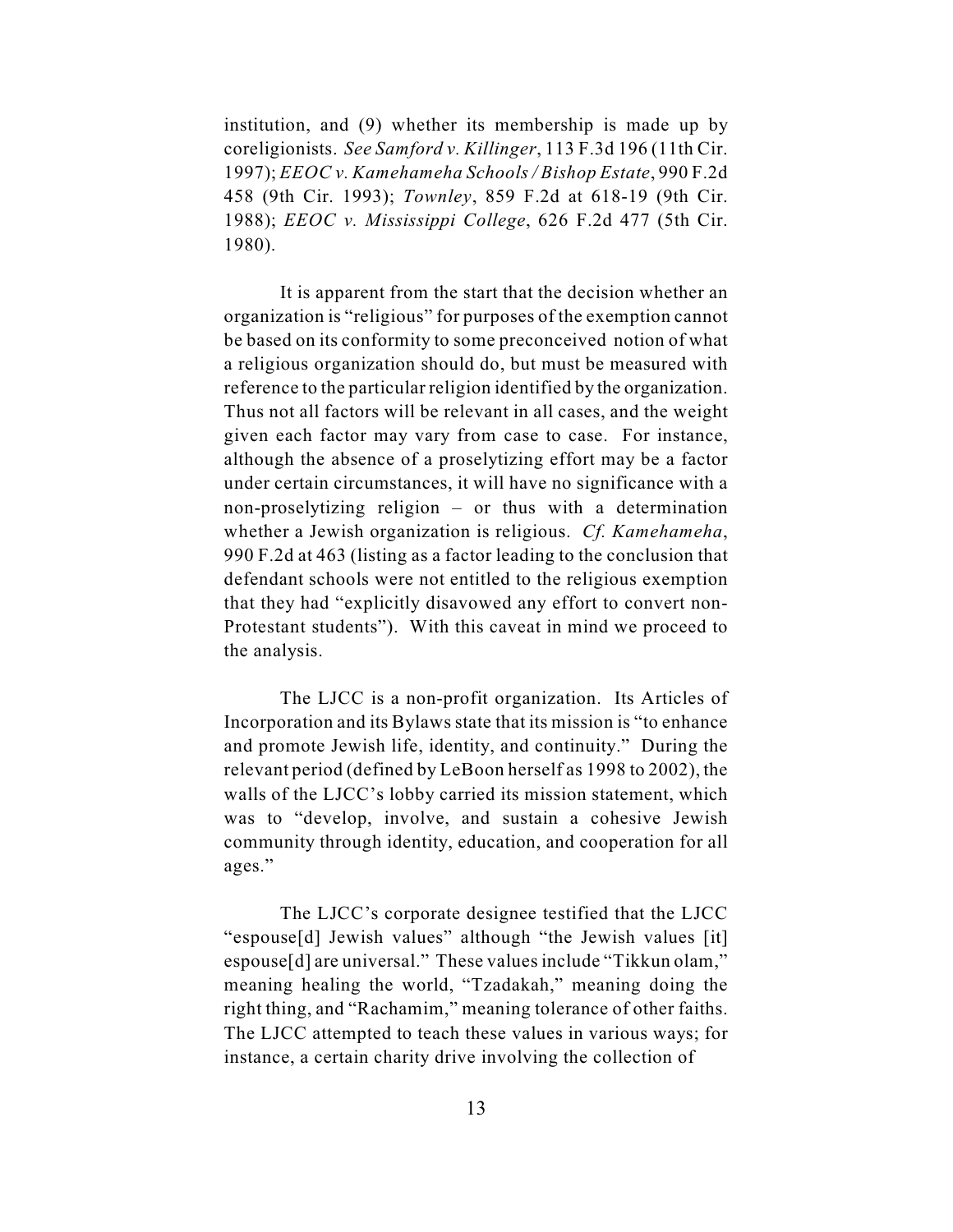institution, and (9) whether its membership is made up by coreligionists. *See Samford v. Killinger*, 113 F.3d 196 (11th Cir. 1997); *EEOC v. Kamehameha Schools / Bishop Estate*, 990 F.2d 458 (9th Cir. 1993); *Townley*, 859 F.2d at 618-19 (9th Cir. 1988); *EEOC v. Mississippi College*, 626 F.2d 477 (5th Cir. 1980).

It is apparent from the start that the decision whether an organization is "religious" for purposes of the exemption cannot be based on its conformity to some preconceived notion of what a religious organization should do, but must be measured with reference to the particular religion identified by the organization. Thus not all factors will be relevant in all cases, and the weight given each factor may vary from case to case. For instance, although the absence of a proselytizing effort may be a factor under certain circumstances, it will have no significance with a non-proselytizing religion – or thus with a determination whether a Jewish organization is religious. *Cf. Kamehameha*, 990 F.2d at 463 (listing as a factor leading to the conclusion that defendant schools were not entitled to the religious exemption that they had "explicitly disavowed any effort to convert non-Protestant students"). With this caveat in mind we proceed to the analysis.

The LJCC is a non-profit organization. Its Articles of Incorporation and its Bylaws state that its mission is "to enhance and promote Jewish life, identity, and continuity." During the relevant period (defined by LeBoon herself as 1998 to 2002), the walls of the LJCC's lobby carried its mission statement, which was to "develop, involve, and sustain a cohesive Jewish community through identity, education, and cooperation for all ages."

The LJCC's corporate designee testified that the LJCC "espouse[d] Jewish values" although "the Jewish values [it] espouse[d] are universal." These values include "Tikkun olam," meaning healing the world, "Tzadakah," meaning doing the right thing, and "Rachamim," meaning tolerance of other faiths. The LJCC attempted to teach these values in various ways; for instance, a certain charity drive involving the collection of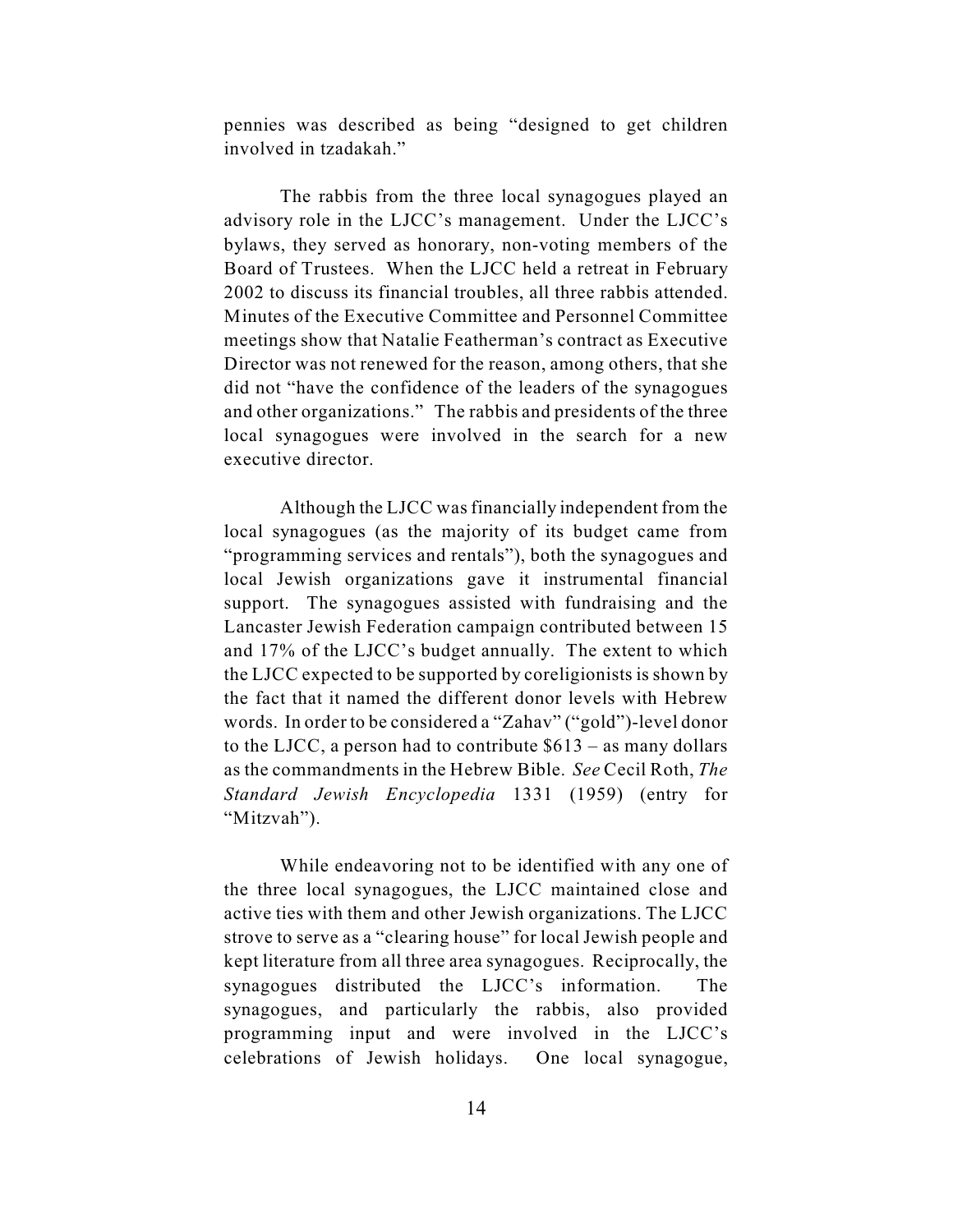pennies was described as being "designed to get children involved in tzadakah."

The rabbis from the three local synagogues played an advisory role in the LJCC's management. Under the LJCC's bylaws, they served as honorary, non-voting members of the Board of Trustees. When the LJCC held a retreat in February 2002 to discuss its financial troubles, all three rabbis attended. Minutes of the Executive Committee and Personnel Committee meetings show that Natalie Featherman's contract as Executive Director was not renewed for the reason, among others, that she did not "have the confidence of the leaders of the synagogues and other organizations." The rabbis and presidents of the three local synagogues were involved in the search for a new executive director.

Although the LJCC was financially independent from the local synagogues (as the majority of its budget came from "programming services and rentals"), both the synagogues and local Jewish organizations gave it instrumental financial support. The synagogues assisted with fundraising and the Lancaster Jewish Federation campaign contributed between 15 and 17% of the LJCC's budget annually. The extent to which the LJCC expected to be supported by coreligionists is shown by the fact that it named the different donor levels with Hebrew words. In order to be considered a "Zahav" ("gold")-level donor to the LJCC, a person had to contribute  $$613 - as many dollars$ as the commandments in the Hebrew Bible. *See* Cecil Roth, *The Standard Jewish Encyclopedia* 1331 (1959) (entry for "Mitzvah").

While endeavoring not to be identified with any one of the three local synagogues, the LJCC maintained close and active ties with them and other Jewish organizations. The LJCC strove to serve as a "clearing house" for local Jewish people and kept literature from all three area synagogues. Reciprocally, the synagogues distributed the LJCC's information. The synagogues, and particularly the rabbis, also provided programming input and were involved in the LJCC's celebrations of Jewish holidays. One local synagogue,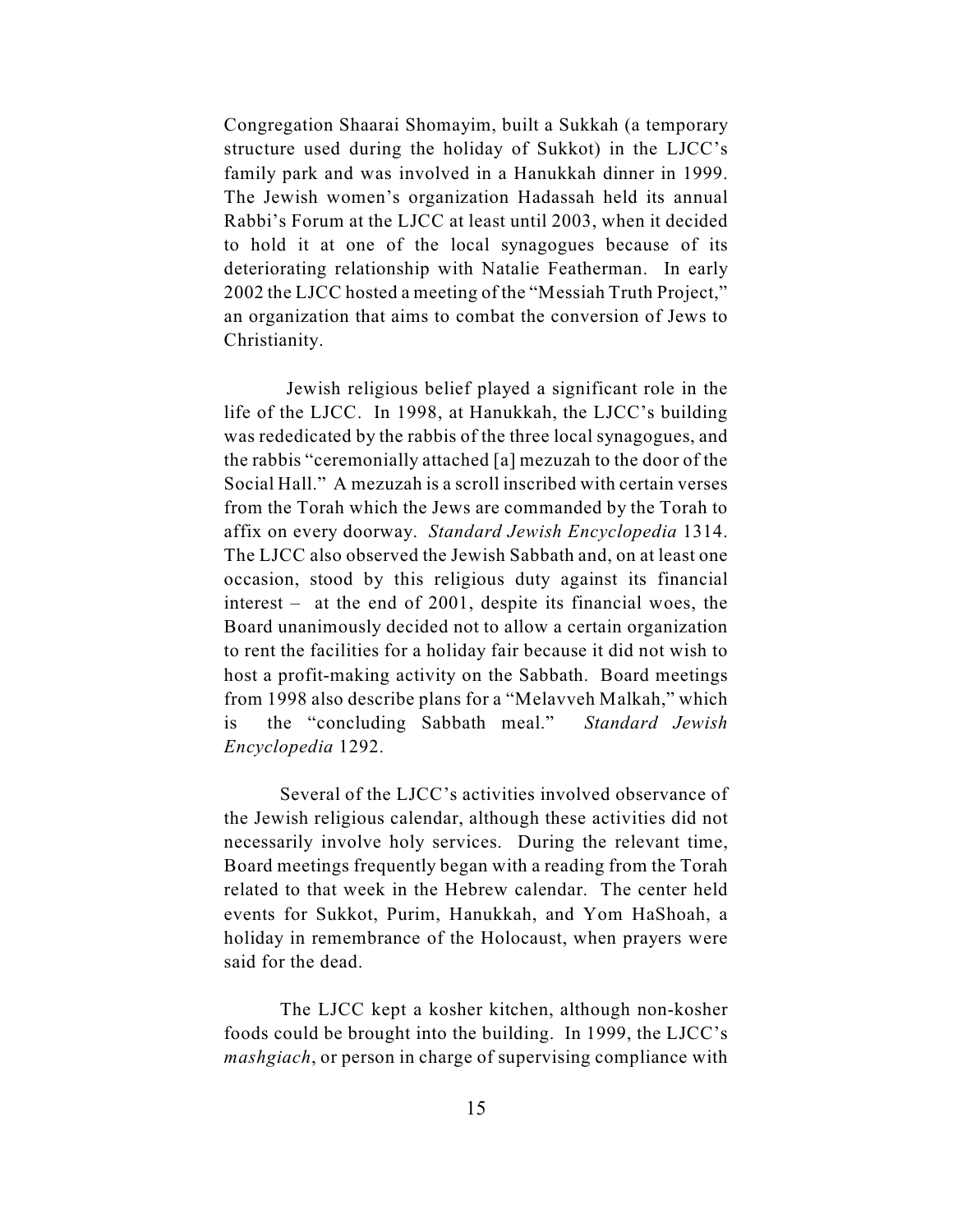Congregation Shaarai Shomayim, built a Sukkah (a temporary structure used during the holiday of Sukkot) in the LJCC's family park and was involved in a Hanukkah dinner in 1999. The Jewish women's organization Hadassah held its annual Rabbi's Forum at the LJCC at least until 2003, when it decided to hold it at one of the local synagogues because of its deteriorating relationship with Natalie Featherman. In early 2002 the LJCC hosted a meeting of the "Messiah Truth Project," an organization that aims to combat the conversion of Jews to Christianity.

 Jewish religious belief played a significant role in the life of the LJCC. In 1998, at Hanukkah, the LJCC's building was rededicated by the rabbis of the three local synagogues, and the rabbis "ceremonially attached [a] mezuzah to the door of the Social Hall." A mezuzah is a scroll inscribed with certain verses from the Torah which the Jews are commanded by the Torah to affix on every doorway. *Standard Jewish Encyclopedia* 1314. The LJCC also observed the Jewish Sabbath and, on at least one occasion, stood by this religious duty against its financial interest – at the end of 2001, despite its financial woes, the Board unanimously decided not to allow a certain organization to rent the facilities for a holiday fair because it did not wish to host a profit-making activity on the Sabbath. Board meetings from 1998 also describe plans for a "Melavveh Malkah," which is the "concluding Sabbath meal." *Standard Jewish Encyclopedia* 1292.

Several of the LJCC's activities involved observance of the Jewish religious calendar, although these activities did not necessarily involve holy services. During the relevant time, Board meetings frequently began with a reading from the Torah related to that week in the Hebrew calendar. The center held events for Sukkot, Purim, Hanukkah, and Yom HaShoah, a holiday in remembrance of the Holocaust, when prayers were said for the dead.

The LJCC kept a kosher kitchen, although non-kosher foods could be brought into the building. In 1999, the LJCC's *mashgiach*, or person in charge of supervising compliance with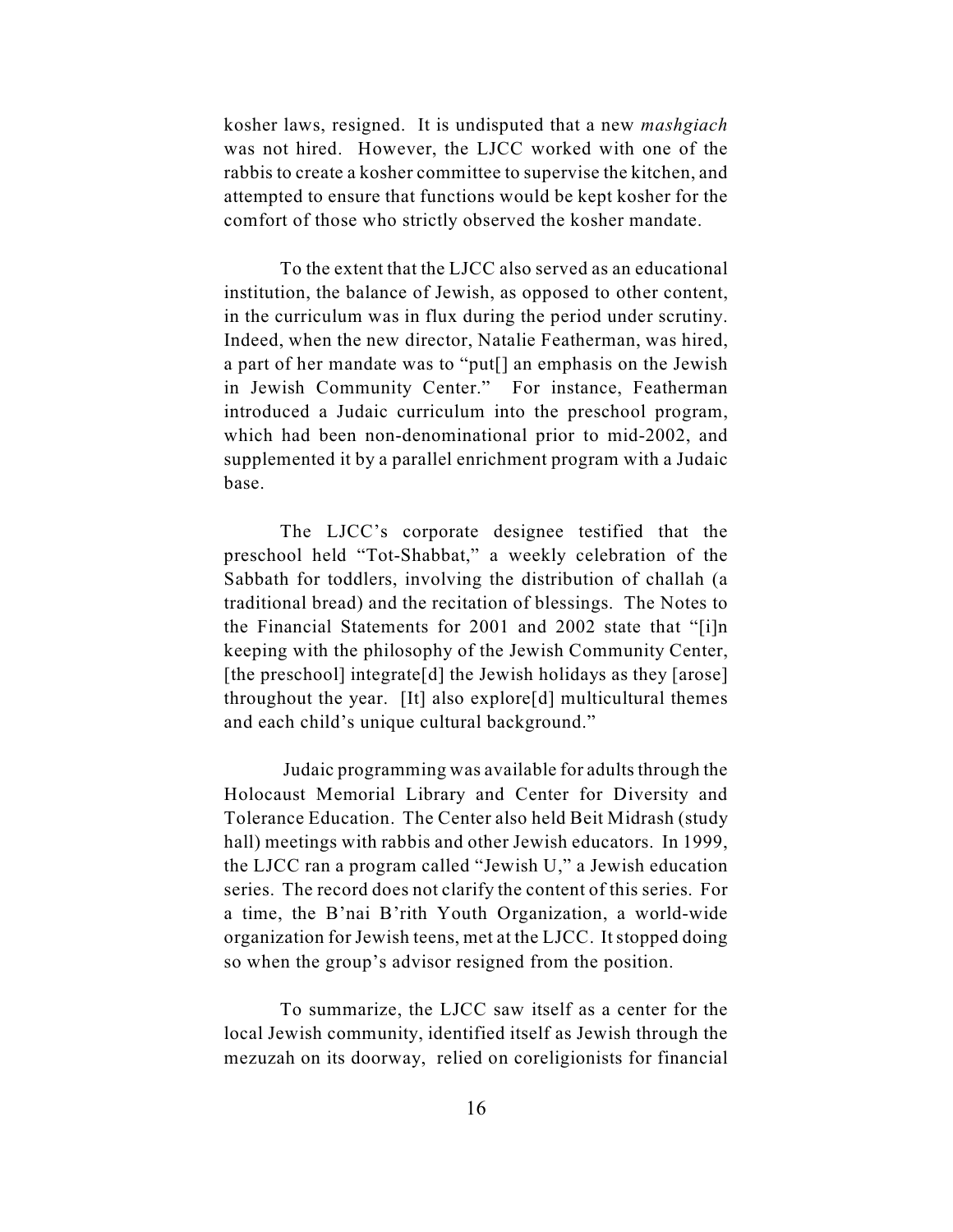kosher laws, resigned. It is undisputed that a new *mashgiach* was not hired. However, the LJCC worked with one of the rabbis to create a kosher committee to supervise the kitchen, and attempted to ensure that functions would be kept kosher for the comfort of those who strictly observed the kosher mandate.

To the extent that the LJCC also served as an educational institution, the balance of Jewish, as opposed to other content, in the curriculum was in flux during the period under scrutiny. Indeed, when the new director, Natalie Featherman, was hired, a part of her mandate was to "put[] an emphasis on the Jewish in Jewish Community Center." For instance, Featherman introduced a Judaic curriculum into the preschool program, which had been non-denominational prior to mid-2002, and supplemented it by a parallel enrichment program with a Judaic base.

The LJCC's corporate designee testified that the preschool held "Tot-Shabbat," a weekly celebration of the Sabbath for toddlers, involving the distribution of challah (a traditional bread) and the recitation of blessings. The Notes to the Financial Statements for 2001 and 2002 state that "[i]n keeping with the philosophy of the Jewish Community Center, [the preschool] integrate[d] the Jewish holidays as they [arose] throughout the year. [It] also explore[d] multicultural themes and each child's unique cultural background."

 Judaic programming was available for adults through the Holocaust Memorial Library and Center for Diversity and Tolerance Education. The Center also held Beit Midrash (study hall) meetings with rabbis and other Jewish educators. In 1999, the LJCC ran a program called "Jewish U," a Jewish education series. The record does not clarify the content of this series. For a time, the B'nai B'rith Youth Organization, a world-wide organization for Jewish teens, met at the LJCC. It stopped doing so when the group's advisor resigned from the position.

To summarize, the LJCC saw itself as a center for the local Jewish community, identified itself as Jewish through the mezuzah on its doorway, relied on coreligionists for financial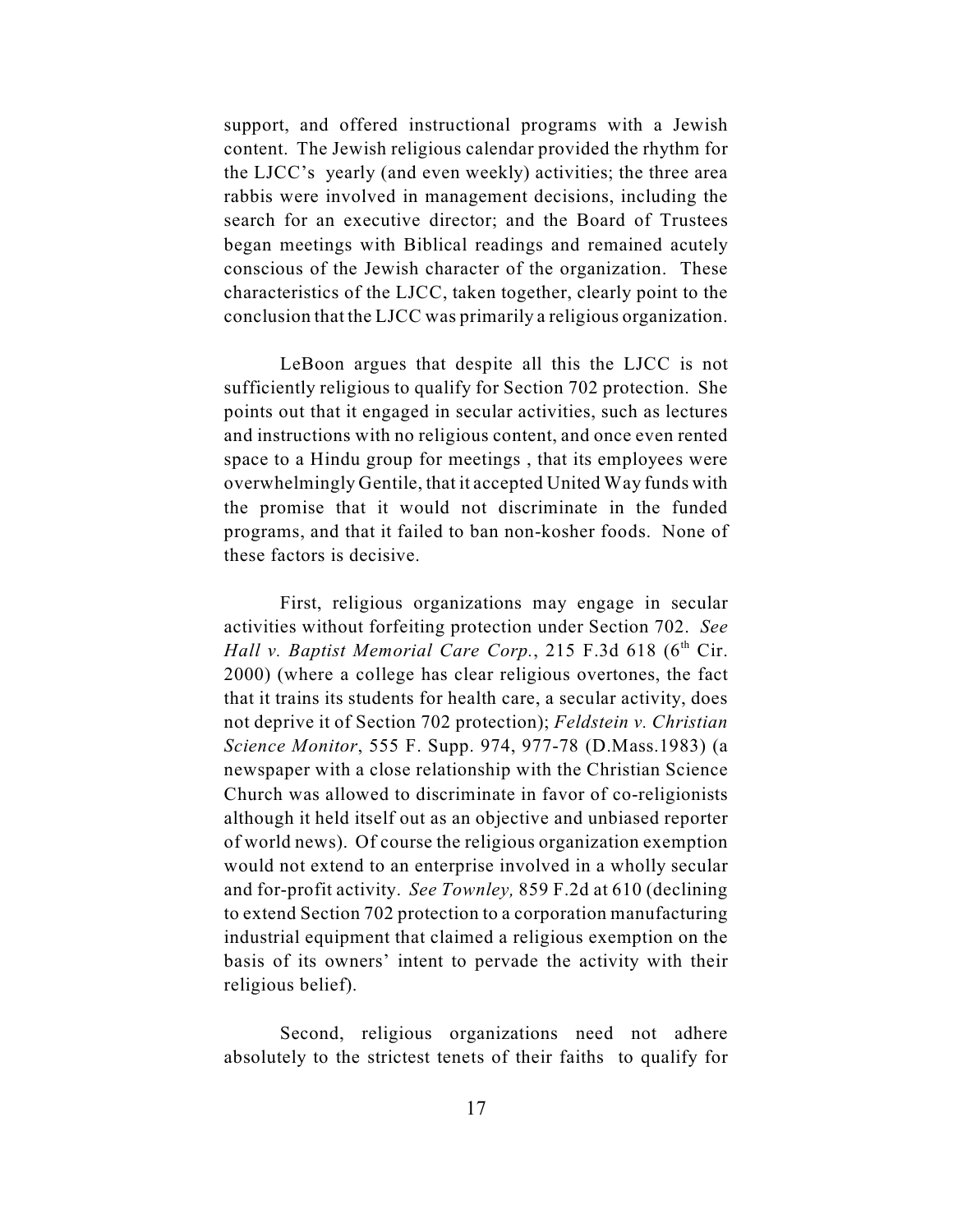support, and offered instructional programs with a Jewish content. The Jewish religious calendar provided the rhythm for the LJCC's yearly (and even weekly) activities; the three area rabbis were involved in management decisions, including the search for an executive director; and the Board of Trustees began meetings with Biblical readings and remained acutely conscious of the Jewish character of the organization. These characteristics of the LJCC, taken together, clearly point to the conclusion that the LJCC was primarily a religious organization.

LeBoon argues that despite all this the LJCC is not sufficiently religious to qualify for Section 702 protection. She points out that it engaged in secular activities, such as lectures and instructions with no religious content, and once even rented space to a Hindu group for meetings , that its employees were overwhelmingly Gentile, that it accepted United Way funds with the promise that it would not discriminate in the funded programs, and that it failed to ban non-kosher foods. None of these factors is decisive.

First, religious organizations may engage in secular activities without forfeiting protection under Section 702. *See Hall v. Baptist Memorial Care Corp.*, 215 F.3d 618 ( $6<sup>th</sup>$  Cir. 2000) (where a college has clear religious overtones, the fact that it trains its students for health care, a secular activity, does not deprive it of Section 702 protection); *Feldstein v. Christian Science Monitor*, 555 F. Supp. 974, 977-78 (D.Mass.1983) (a newspaper with a close relationship with the Christian Science Church was allowed to discriminate in favor of co-religionists although it held itself out as an objective and unbiased reporter of world news). Of course the religious organization exemption would not extend to an enterprise involved in a wholly secular and for-profit activity. *See Townley,* 859 F.2d at 610 (declining to extend Section 702 protection to a corporation manufacturing industrial equipment that claimed a religious exemption on the basis of its owners' intent to pervade the activity with their religious belief).

Second, religious organizations need not adhere absolutely to the strictest tenets of their faiths to qualify for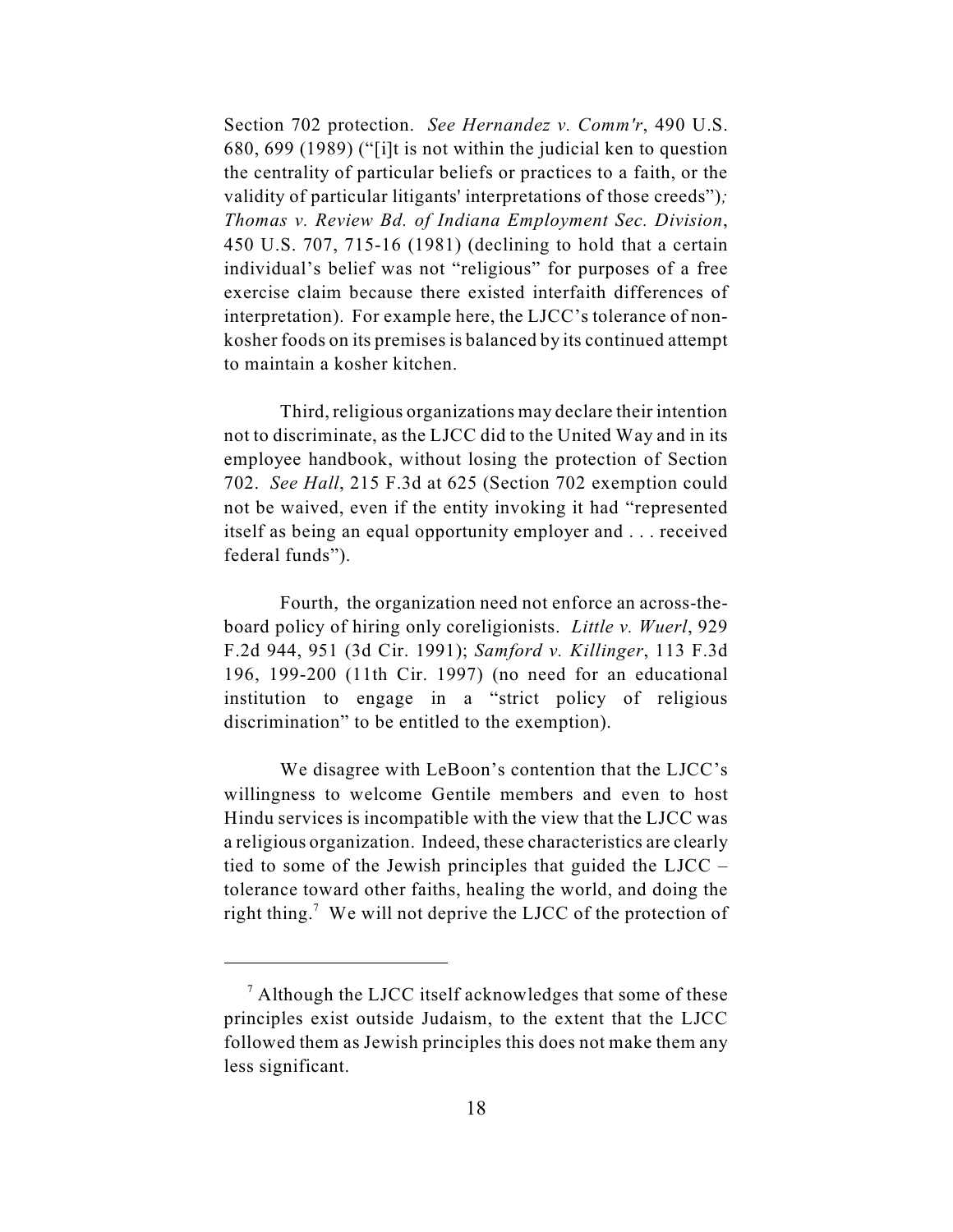Section 702 protection. *See Hernandez v. Comm'r*, 490 U.S. 680, 699 (1989) ("[i]t is not within the judicial ken to question the centrality of particular beliefs or practices to a faith, or the validity of particular litigants' interpretations of those creeds")*; Thomas v. Review Bd. of Indiana Employment Sec. Division*, 450 U.S. 707, 715-16 (1981) (declining to hold that a certain individual's belief was not "religious" for purposes of a free exercise claim because there existed interfaith differences of interpretation). For example here, the LJCC's tolerance of nonkosher foods on its premises is balanced by its continued attempt to maintain a kosher kitchen.

Third, religious organizations may declare their intention not to discriminate, as the LJCC did to the United Way and in its employee handbook, without losing the protection of Section 702. *See Hall*, 215 F.3d at 625 (Section 702 exemption could not be waived, even if the entity invoking it had "represented itself as being an equal opportunity employer and . . . received federal funds").

Fourth, the organization need not enforce an across-theboard policy of hiring only coreligionists. *Little v. Wuerl*, 929 F.2d 944, 951 (3d Cir. 1991); *Samford v. Killinger*, 113 F.3d 196, 199-200 (11th Cir. 1997) (no need for an educational institution to engage in a "strict policy of religious discrimination" to be entitled to the exemption).

We disagree with LeBoon's contention that the LJCC's willingness to welcome Gentile members and even to host Hindu services is incompatible with the view that the LJCC was a religious organization. Indeed, these characteristics are clearly tied to some of the Jewish principles that guided the LJCC – tolerance toward other faiths, healing the world, and doing the right thing.<sup>7</sup> We will not deprive the LJCC of the protection of

<sup>&</sup>lt;sup>7</sup> Although the LJCC itself acknowledges that some of these principles exist outside Judaism, to the extent that the LJCC followed them as Jewish principles this does not make them any less significant.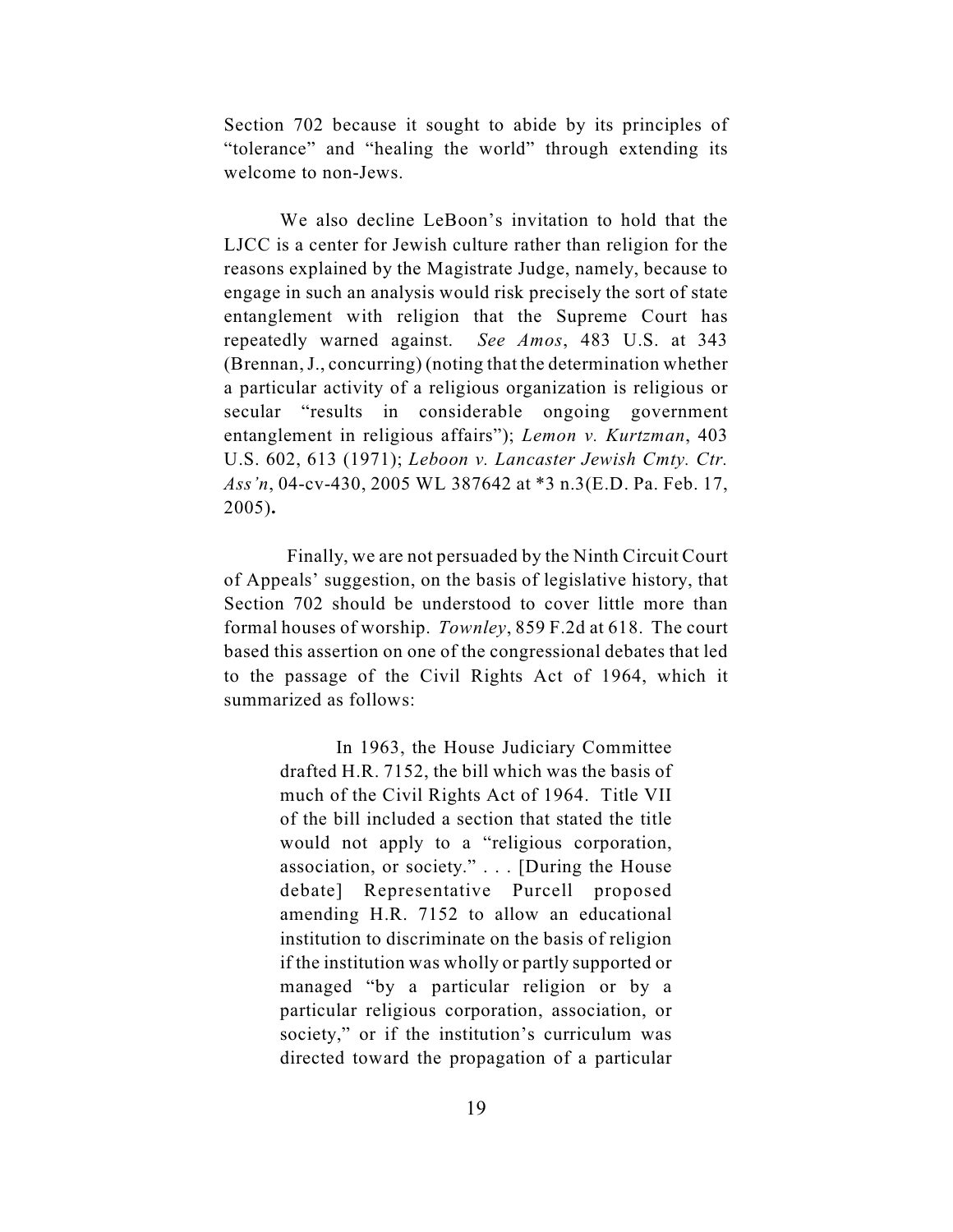Section 702 because it sought to abide by its principles of "tolerance" and "healing the world" through extending its welcome to non-Jews.

We also decline LeBoon's invitation to hold that the LJCC is a center for Jewish culture rather than religion for the reasons explained by the Magistrate Judge, namely, because to engage in such an analysis would risk precisely the sort of state entanglement with religion that the Supreme Court has repeatedly warned against. *See Amos*, 483 U.S. at 343 (Brennan, J., concurring) (noting that the determination whether a particular activity of a religious organization is religious or secular "results in considerable ongoing government entanglement in religious affairs"); *Lemon v. Kurtzman*, 403 U.S. 602, 613 (1971); *Leboon v. Lancaster Jewish Cmty. Ctr. Ass'n*, 04-cv-430, 2005 WL 387642 at \*3 n.3(E.D. Pa. Feb. 17, 2005)**.**

 Finally, we are not persuaded by the Ninth Circuit Court of Appeals' suggestion, on the basis of legislative history, that Section 702 should be understood to cover little more than formal houses of worship. *Townley*, 859 F.2d at 618. The court based this assertion on one of the congressional debates that led to the passage of the Civil Rights Act of 1964, which it summarized as follows:

> In 1963, the House Judiciary Committee drafted H.R. 7152, the bill which was the basis of much of the Civil Rights Act of 1964. Title VII of the bill included a section that stated the title would not apply to a "religious corporation, association, or society." . . . [During the House debate] Representative Purcell proposed amending H.R. 7152 to allow an educational institution to discriminate on the basis of religion if the institution was wholly or partly supported or managed "by a particular religion or by a particular religious corporation, association, or society," or if the institution's curriculum was directed toward the propagation of a particular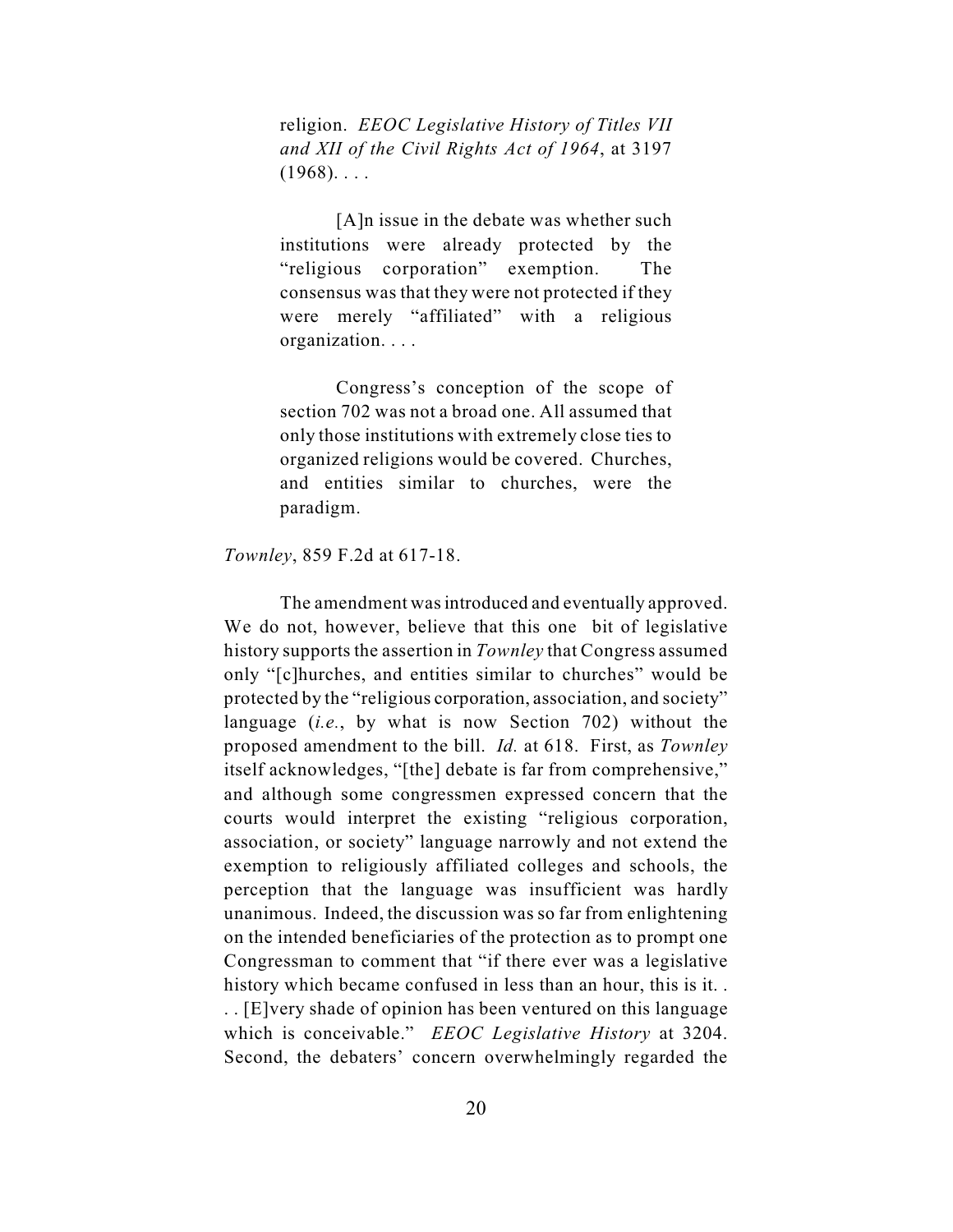religion. *EEOC Legislative History of Titles VII and XII of the Civil Rights Act of 1964*, at 3197  $(1968)$ ...

[A]n issue in the debate was whether such institutions were already protected by the "religious corporation" exemption. The consensus was that they were not protected if they were merely "affiliated" with a religious organization. . . .

Congress's conception of the scope of section 702 was not a broad one. All assumed that only those institutions with extremely close ties to organized religions would be covered. Churches, and entities similar to churches, were the paradigm.

*Townley*, 859 F.2d at 617-18.

The amendment was introduced and eventually approved. We do not, however, believe that this one bit of legislative history supports the assertion in *Townley* that Congress assumed only "[c]hurches, and entities similar to churches" would be protected by the "religious corporation, association, and society" language (*i.e.*, by what is now Section 702) without the proposed amendment to the bill. *Id.* at 618. First, as *Townley* itself acknowledges, "[the] debate is far from comprehensive," and although some congressmen expressed concern that the courts would interpret the existing "religious corporation, association, or society" language narrowly and not extend the exemption to religiously affiliated colleges and schools, the perception that the language was insufficient was hardly unanimous. Indeed, the discussion was so far from enlightening on the intended beneficiaries of the protection as to prompt one Congressman to comment that "if there ever was a legislative history which became confused in less than an hour, this is it. . . . [E]very shade of opinion has been ventured on this language which is conceivable." *EEOC Legislative History* at 3204. Second, the debaters' concern overwhelmingly regarded the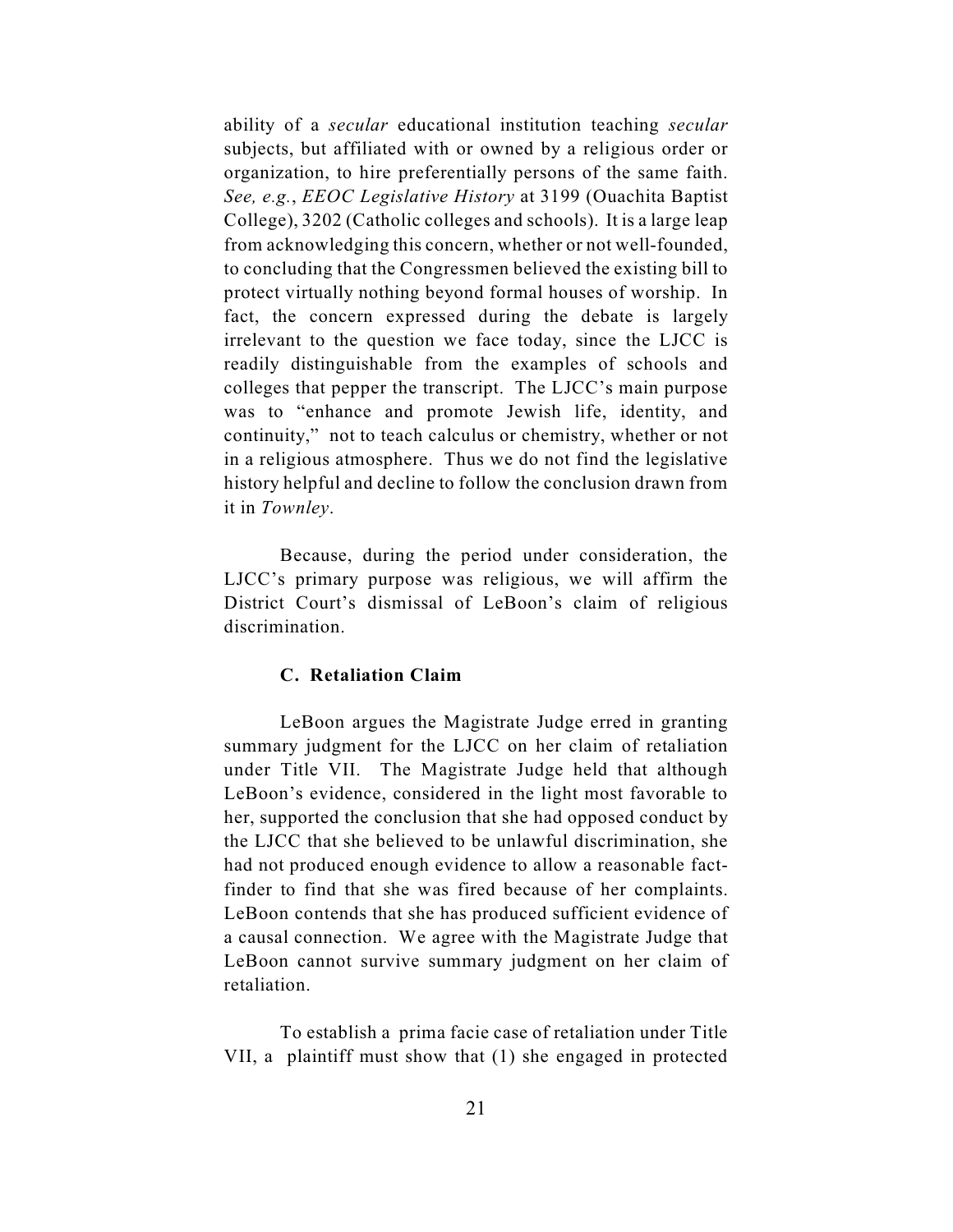ability of a *secular* educational institution teaching *secular* subjects, but affiliated with or owned by a religious order or organization, to hire preferentially persons of the same faith. *See, e.g.*, *EEOC Legislative History* at 3199 (Ouachita Baptist College), 3202 (Catholic colleges and schools). It is a large leap from acknowledging this concern, whether or not well-founded, to concluding that the Congressmen believed the existing bill to protect virtually nothing beyond formal houses of worship. In fact, the concern expressed during the debate is largely irrelevant to the question we face today, since the LJCC is readily distinguishable from the examples of schools and colleges that pepper the transcript. The LJCC's main purpose was to "enhance and promote Jewish life, identity, and continuity," not to teach calculus or chemistry, whether or not in a religious atmosphere. Thus we do not find the legislative history helpful and decline to follow the conclusion drawn from it in *Townley*.

Because, during the period under consideration, the LJCC's primary purpose was religious, we will affirm the District Court's dismissal of LeBoon's claim of religious discrimination.

## **C. Retaliation Claim**

LeBoon argues the Magistrate Judge erred in granting summary judgment for the LJCC on her claim of retaliation under Title VII. The Magistrate Judge held that although LeBoon's evidence, considered in the light most favorable to her, supported the conclusion that she had opposed conduct by the LJCC that she believed to be unlawful discrimination, she had not produced enough evidence to allow a reasonable factfinder to find that she was fired because of her complaints. LeBoon contends that she has produced sufficient evidence of a causal connection. We agree with the Magistrate Judge that LeBoon cannot survive summary judgment on her claim of retaliation.

To establish a prima facie case of retaliation under Title VII, a plaintiff must show that (1) she engaged in protected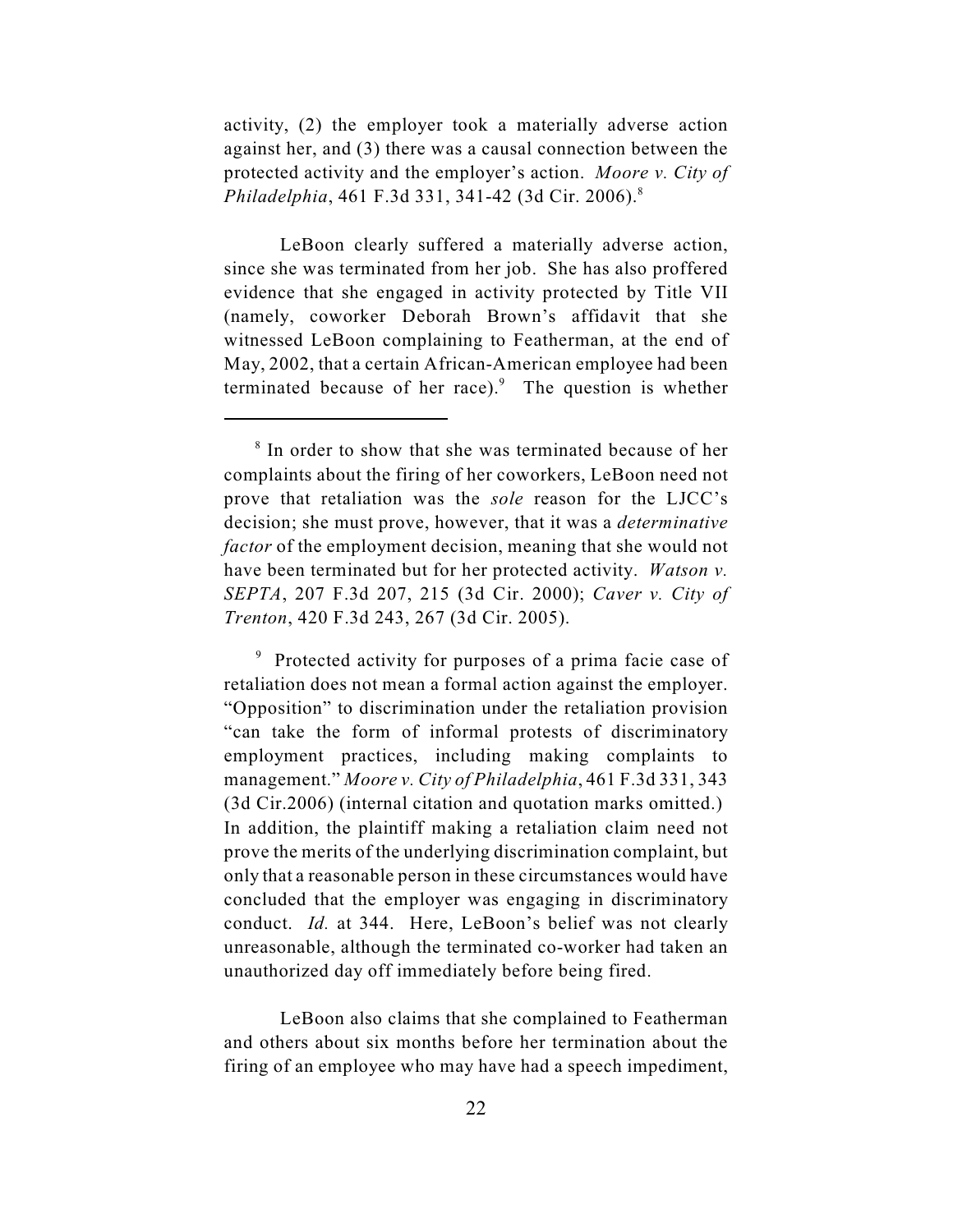activity, (2) the employer took a materially adverse action against her, and (3) there was a causal connection between the protected activity and the employer's action. *Moore v. City of Philadelphia*, 461 F.3d 331, 341-42 (3d Cir. 2006).<sup>8</sup>

LeBoon clearly suffered a materially adverse action, since she was terminated from her job. She has also proffered evidence that she engaged in activity protected by Title VII (namely, coworker Deborah Brown's affidavit that she witnessed LeBoon complaining to Featherman, at the end of May, 2002, that a certain African-American employee had been terminated because of her race). $9$  The question is whether

<sup>9</sup> Protected activity for purposes of a prima facie case of retaliation does not mean a formal action against the employer. "Opposition" to discrimination under the retaliation provision "can take the form of informal protests of discriminatory employment practices, including making complaints to management." *Moore v. City of Philadelphia*, 461 F.3d 331, 343 (3d Cir.2006) (internal citation and quotation marks omitted.) In addition, the plaintiff making a retaliation claim need not prove the merits of the underlying discrimination complaint, but only that a reasonable person in these circumstances would have concluded that the employer was engaging in discriminatory conduct. *Id.* at 344. Here, LeBoon's belief was not clearly unreasonable, although the terminated co-worker had taken an unauthorized day off immediately before being fired.

LeBoon also claims that she complained to Featherman and others about six months before her termination about the firing of an employee who may have had a speech impediment,

<sup>&</sup>lt;sup>8</sup> In order to show that she was terminated because of her complaints about the firing of her coworkers, LeBoon need not prove that retaliation was the *sole* reason for the LJCC's decision; she must prove, however, that it was a *determinative factor* of the employment decision, meaning that she would not have been terminated but for her protected activity. *Watson v. SEPTA*, 207 F.3d 207, 215 (3d Cir. 2000); *Caver v. City of Trenton*, 420 F.3d 243, 267 (3d Cir. 2005).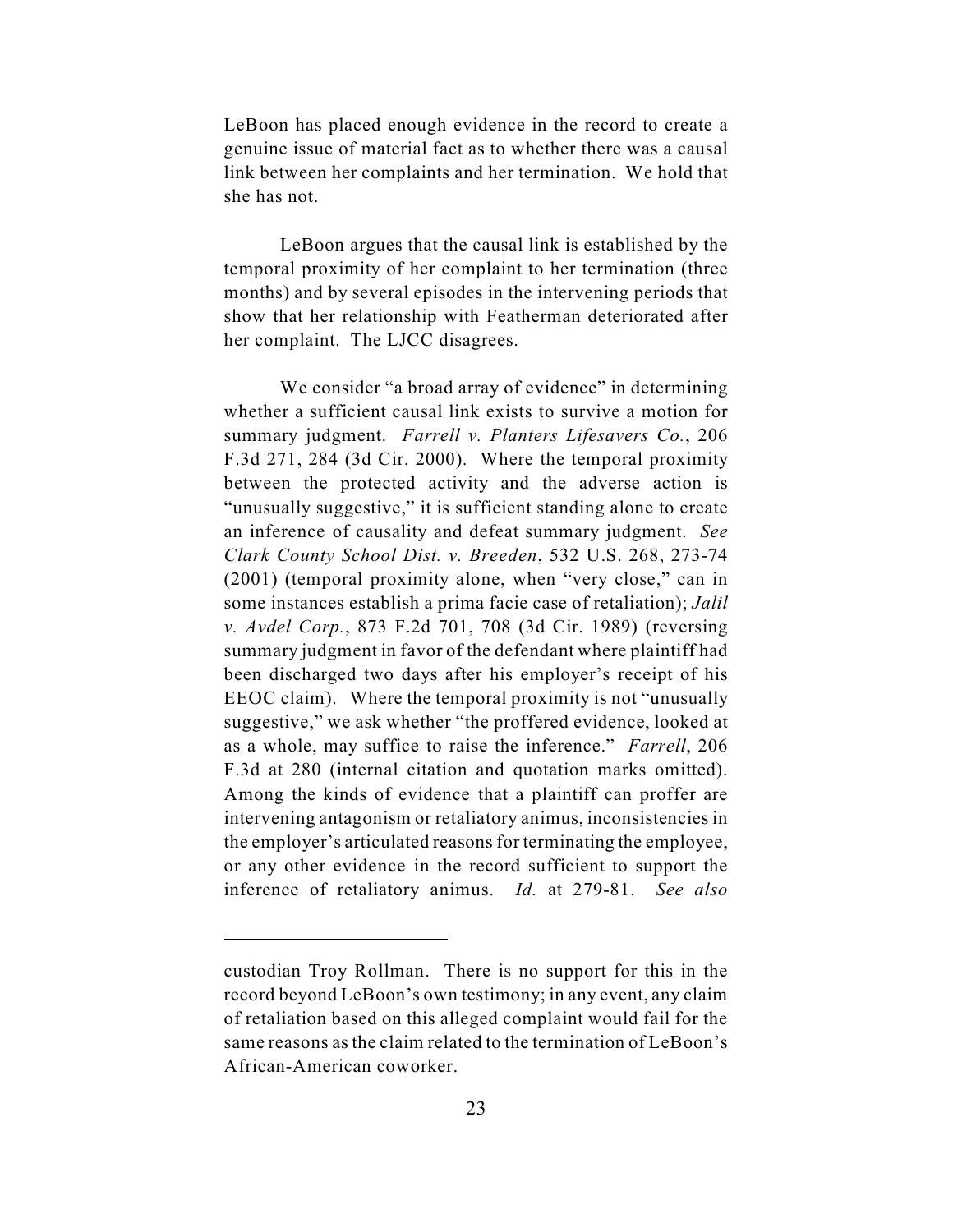LeBoon has placed enough evidence in the record to create a genuine issue of material fact as to whether there was a causal link between her complaints and her termination. We hold that she has not.

LeBoon argues that the causal link is established by the temporal proximity of her complaint to her termination (three months) and by several episodes in the intervening periods that show that her relationship with Featherman deteriorated after her complaint. The LJCC disagrees.

We consider "a broad array of evidence" in determining whether a sufficient causal link exists to survive a motion for summary judgment. *Farrell v. Planters Lifesavers Co.*, 206 F.3d 271, 284 (3d Cir. 2000). Where the temporal proximity between the protected activity and the adverse action is "unusually suggestive," it is sufficient standing alone to create an inference of causality and defeat summary judgment. *See Clark County School Dist. v. Breeden*, 532 U.S. 268, 273-74 (2001) (temporal proximity alone, when "very close," can in some instances establish a prima facie case of retaliation); *Jalil v. Avdel Corp.*, 873 F.2d 701, 708 (3d Cir. 1989) (reversing summary judgment in favor of the defendant where plaintiff had been discharged two days after his employer's receipt of his EEOC claim). Where the temporal proximity is not "unusually suggestive," we ask whether "the proffered evidence, looked at as a whole, may suffice to raise the inference." *Farrell*, 206 F.3d at 280 (internal citation and quotation marks omitted). Among the kinds of evidence that a plaintiff can proffer are intervening antagonism or retaliatory animus, inconsistencies in the employer's articulated reasons for terminating the employee, or any other evidence in the record sufficient to support the inference of retaliatory animus. *Id.* at 279-81. *See also*

custodian Troy Rollman. There is no support for this in the record beyond LeBoon's own testimony; in any event, any claim of retaliation based on this alleged complaint would fail for the same reasons as the claim related to the termination of LeBoon's African-American coworker.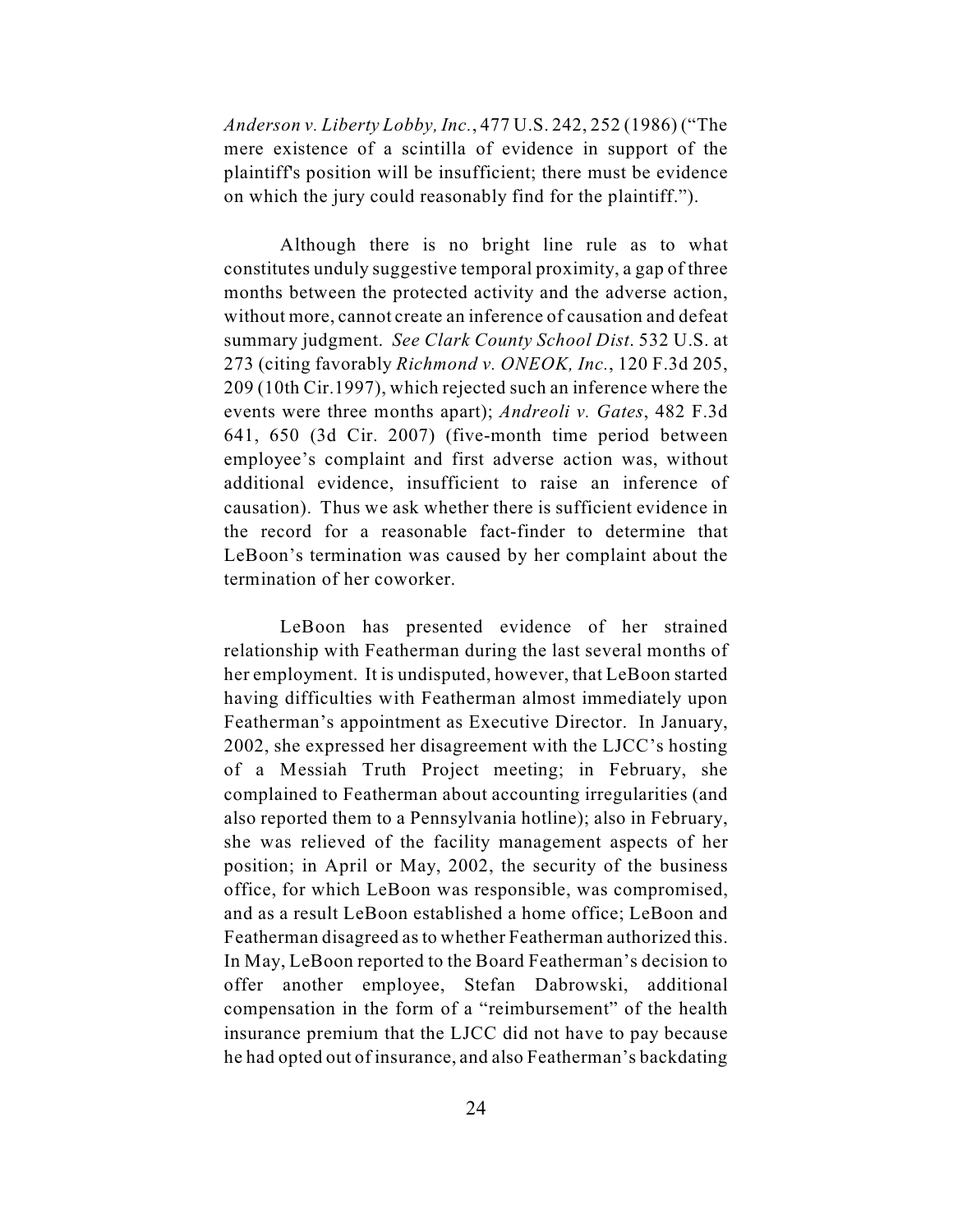*Anderson v. Liberty Lobby, Inc.*, 477 U.S. 242, 252 (1986) ("The mere existence of a scintilla of evidence in support of the plaintiff's position will be insufficient; there must be evidence on which the jury could reasonably find for the plaintiff.").

Although there is no bright line rule as to what constitutes unduly suggestive temporal proximity, a gap of three months between the protected activity and the adverse action, without more, cannot create an inference of causation and defeat summary judgment. *See Clark County School Dist*. 532 U.S. at 273 (citing favorably *Richmond v. ONEOK, Inc.*, 120 F.3d 205, 209 (10th Cir.1997), which rejected such an inference where the events were three months apart); *Andreoli v. Gates*, 482 F.3d 641, 650 (3d Cir. 2007) (five-month time period between employee's complaint and first adverse action was, without additional evidence, insufficient to raise an inference of causation). Thus we ask whether there is sufficient evidence in the record for a reasonable fact-finder to determine that LeBoon's termination was caused by her complaint about the termination of her coworker.

LeBoon has presented evidence of her strained relationship with Featherman during the last several months of her employment. It is undisputed, however, that LeBoon started having difficulties with Featherman almost immediately upon Featherman's appointment as Executive Director. In January, 2002, she expressed her disagreement with the LJCC's hosting of a Messiah Truth Project meeting; in February, she complained to Featherman about accounting irregularities (and also reported them to a Pennsylvania hotline); also in February, she was relieved of the facility management aspects of her position; in April or May, 2002, the security of the business office, for which LeBoon was responsible, was compromised, and as a result LeBoon established a home office; LeBoon and Featherman disagreed as to whether Featherman authorized this. In May, LeBoon reported to the Board Featherman's decision to offer another employee, Stefan Dabrowski, additional compensation in the form of a "reimbursement" of the health insurance premium that the LJCC did not have to pay because he had opted out of insurance, and also Featherman's backdating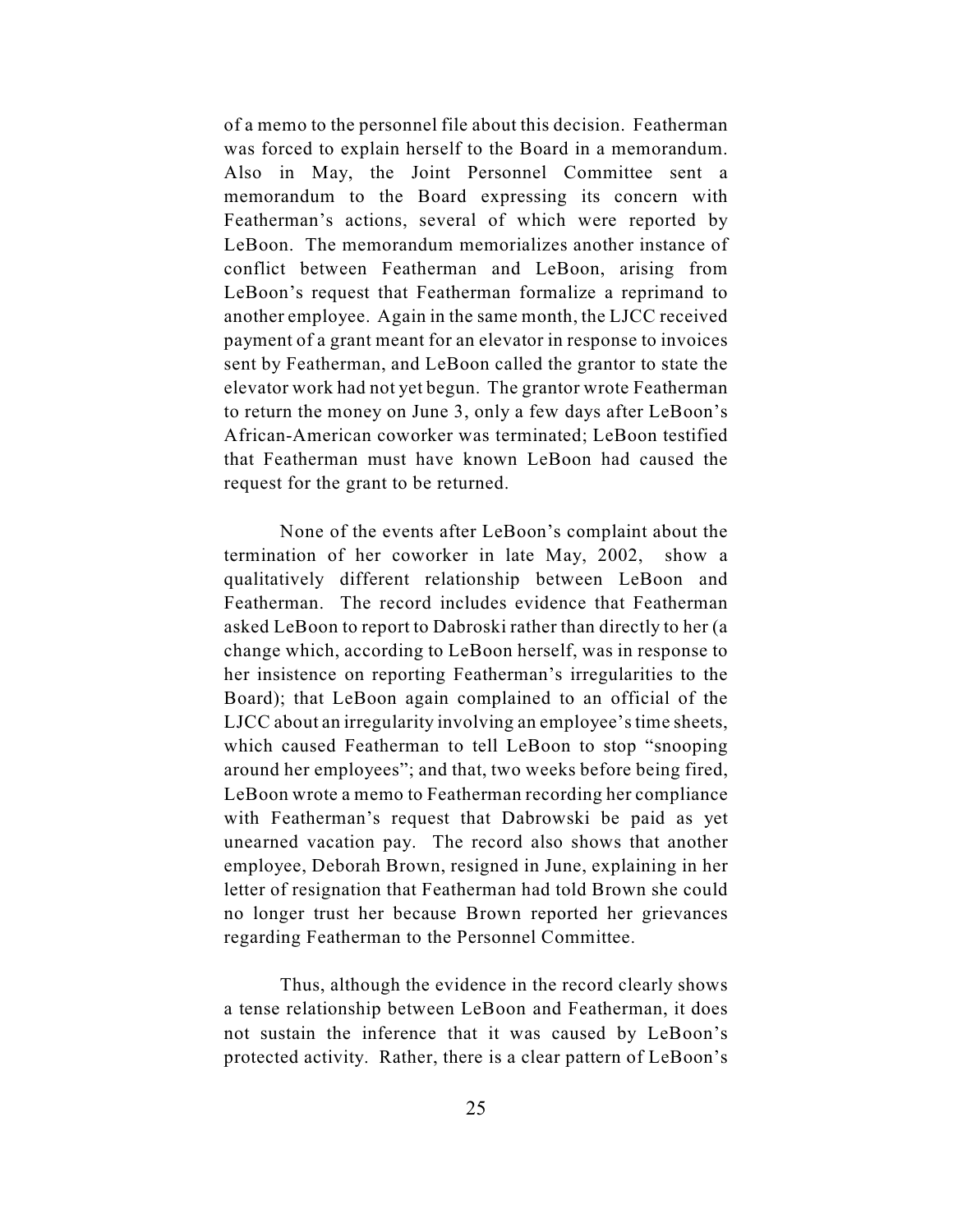of a memo to the personnel file about this decision. Featherman was forced to explain herself to the Board in a memorandum. Also in May, the Joint Personnel Committee sent a memorandum to the Board expressing its concern with Featherman's actions, several of which were reported by LeBoon. The memorandum memorializes another instance of conflict between Featherman and LeBoon, arising from LeBoon's request that Featherman formalize a reprimand to another employee. Again in the same month, the LJCC received payment of a grant meant for an elevator in response to invoices sent by Featherman, and LeBoon called the grantor to state the elevator work had not yet begun. The grantor wrote Featherman to return the money on June 3, only a few days after LeBoon's African-American coworker was terminated; LeBoon testified that Featherman must have known LeBoon had caused the request for the grant to be returned.

None of the events after LeBoon's complaint about the termination of her coworker in late May, 2002, show a qualitatively different relationship between LeBoon and Featherman. The record includes evidence that Featherman asked LeBoon to report to Dabroski rather than directly to her (a change which, according to LeBoon herself, was in response to her insistence on reporting Featherman's irregularities to the Board); that LeBoon again complained to an official of the LJCC about an irregularity involving an employee's time sheets, which caused Featherman to tell LeBoon to stop "snooping around her employees"; and that, two weeks before being fired, LeBoon wrote a memo to Featherman recording her compliance with Featherman's request that Dabrowski be paid as yet unearned vacation pay. The record also shows that another employee, Deborah Brown, resigned in June, explaining in her letter of resignation that Featherman had told Brown she could no longer trust her because Brown reported her grievances regarding Featherman to the Personnel Committee.

Thus, although the evidence in the record clearly shows a tense relationship between LeBoon and Featherman, it does not sustain the inference that it was caused by LeBoon's protected activity. Rather, there is a clear pattern of LeBoon's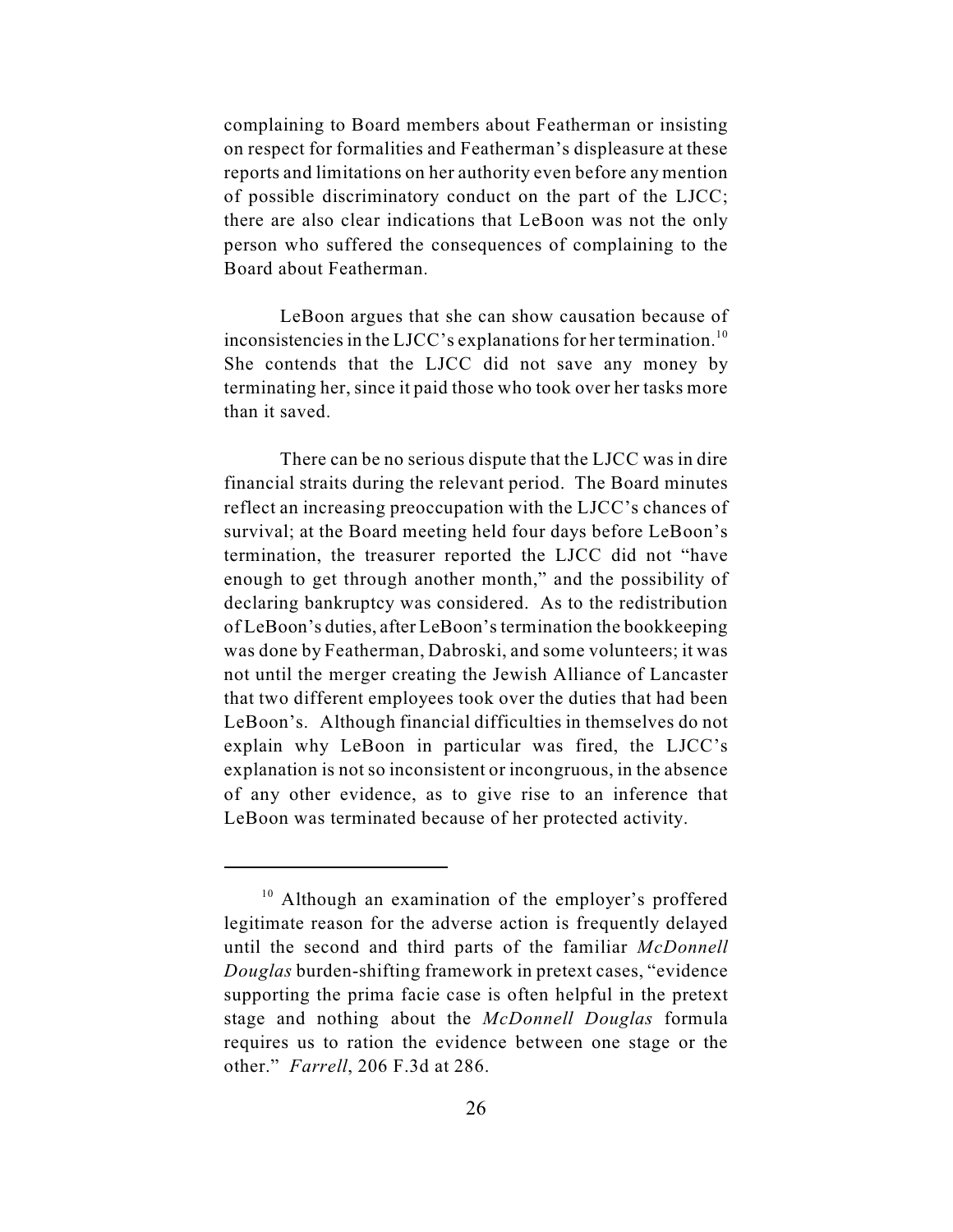complaining to Board members about Featherman or insisting on respect for formalities and Featherman's displeasure at these reports and limitations on her authority even before any mention of possible discriminatory conduct on the part of the LJCC; there are also clear indications that LeBoon was not the only person who suffered the consequences of complaining to the Board about Featherman.

LeBoon argues that she can show causation because of inconsistencies in the LJCC's explanations for her termination.<sup>10</sup> She contends that the LJCC did not save any money by terminating her, since it paid those who took over her tasks more than it saved.

There can be no serious dispute that the LJCC was in dire financial straits during the relevant period. The Board minutes reflect an increasing preoccupation with the LJCC's chances of survival; at the Board meeting held four days before LeBoon's termination, the treasurer reported the LJCC did not "have enough to get through another month," and the possibility of declaring bankruptcy was considered. As to the redistribution of LeBoon's duties, after LeBoon's termination the bookkeeping was done by Featherman, Dabroski, and some volunteers; it was not until the merger creating the Jewish Alliance of Lancaster that two different employees took over the duties that had been LeBoon's. Although financial difficulties in themselves do not explain why LeBoon in particular was fired, the LJCC's explanation is not so inconsistent or incongruous, in the absence of any other evidence, as to give rise to an inference that LeBoon was terminated because of her protected activity.

 $10$  Although an examination of the employer's proffered legitimate reason for the adverse action is frequently delayed until the second and third parts of the familiar *McDonnell Douglas* burden-shifting framework in pretext cases, "evidence supporting the prima facie case is often helpful in the pretext stage and nothing about the *McDonnell Douglas* formula requires us to ration the evidence between one stage or the other." *Farrell*, 206 F.3d at 286.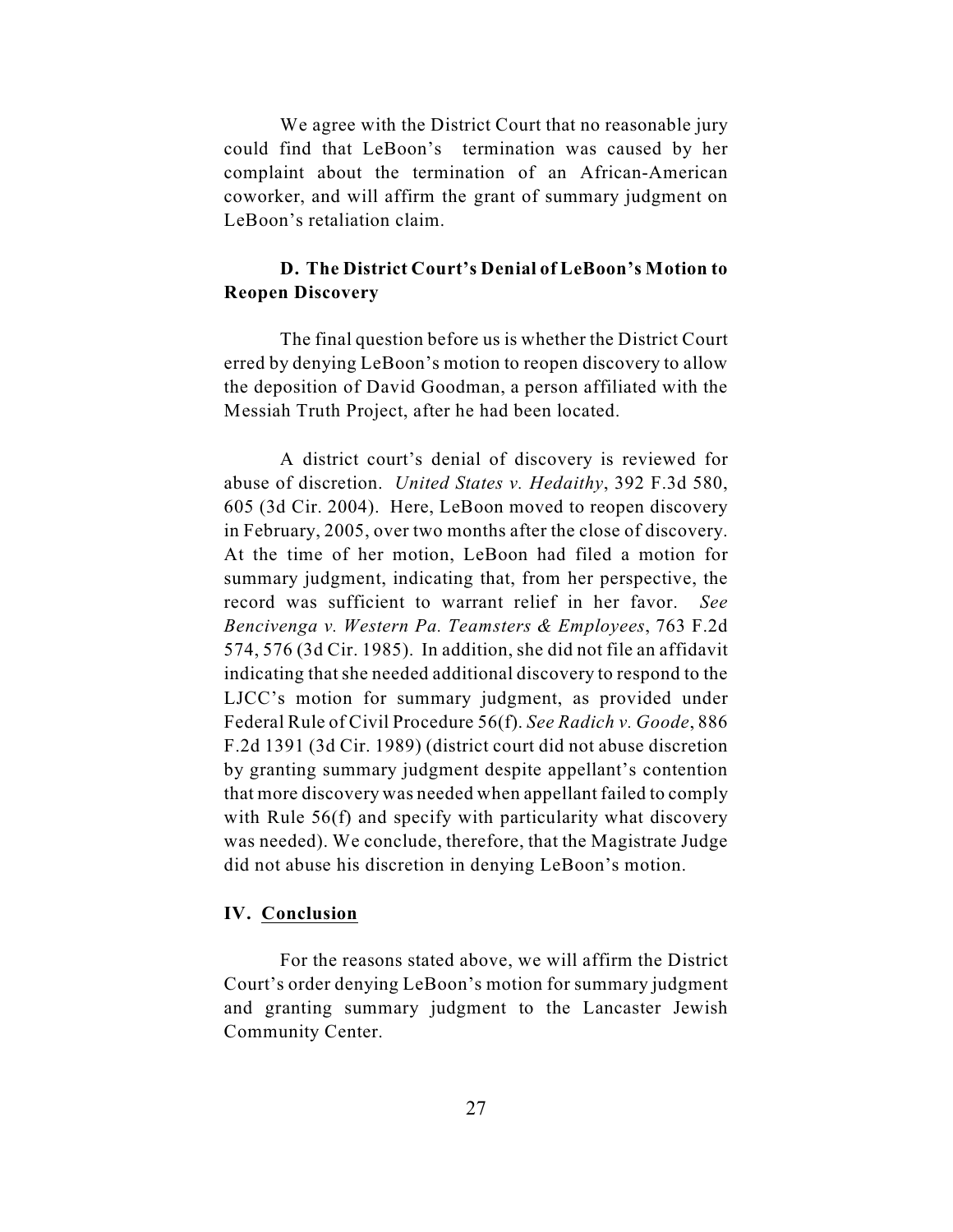We agree with the District Court that no reasonable jury could find that LeBoon's termination was caused by her complaint about the termination of an African-American coworker, and will affirm the grant of summary judgment on LeBoon's retaliation claim.

# **D. The District Court's Denial of LeBoon's Motion to Reopen Discovery**

The final question before us is whether the District Court erred by denying LeBoon's motion to reopen discovery to allow the deposition of David Goodman, a person affiliated with the Messiah Truth Project, after he had been located.

A district court's denial of discovery is reviewed for abuse of discretion. *United States v. Hedaithy*, 392 F.3d 580, 605 (3d Cir. 2004). Here, LeBoon moved to reopen discovery in February, 2005, over two months after the close of discovery. At the time of her motion, LeBoon had filed a motion for summary judgment, indicating that, from her perspective, the record was sufficient to warrant relief in her favor. *See Bencivenga v. Western Pa. Teamsters & Employees*, 763 F.2d 574, 576 (3d Cir. 1985). In addition, she did not file an affidavit indicating that she needed additional discovery to respond to the LJCC's motion for summary judgment, as provided under Federal Rule of Civil Procedure 56(f). *See Radich v. Goode*, 886 F.2d 1391 (3d Cir. 1989) (district court did not abuse discretion by granting summary judgment despite appellant's contention that more discovery was needed when appellant failed to comply with Rule 56(f) and specify with particularity what discovery was needed). We conclude, therefore, that the Magistrate Judge did not abuse his discretion in denying LeBoon's motion.

#### **IV. Conclusion**

For the reasons stated above, we will affirm the District Court's order denying LeBoon's motion for summary judgment and granting summary judgment to the Lancaster Jewish Community Center.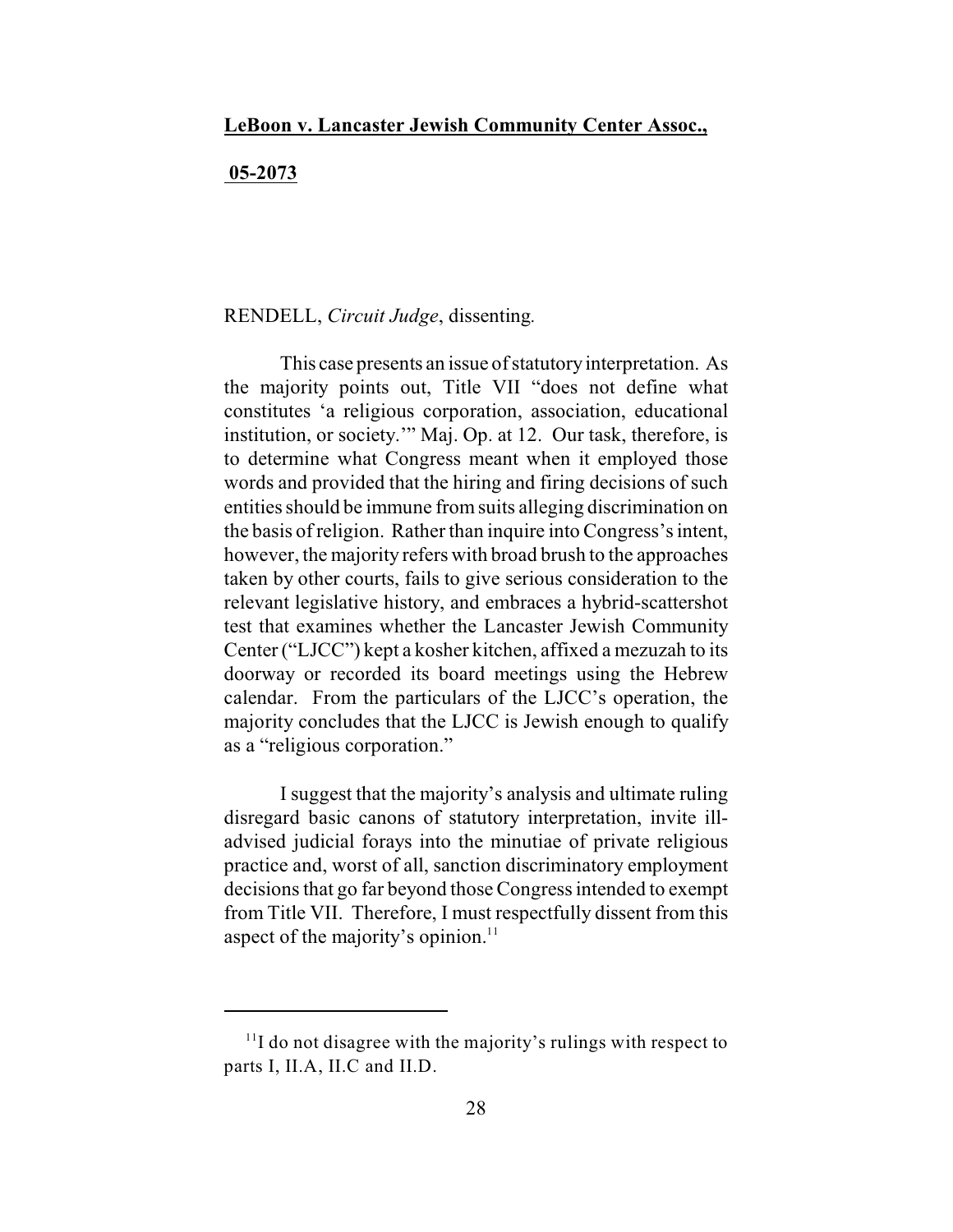## **05-2073**

# RENDELL, *Circuit Judge*, dissenting*.*

This case presents an issue of statutory interpretation. As the majority points out, Title VII "does not define what constitutes 'a religious corporation, association, educational institution, or society.'" Maj. Op. at 12. Our task, therefore, is to determine what Congress meant when it employed those words and provided that the hiring and firing decisions of such entities should be immune fromsuits alleging discrimination on the basis of religion. Rather than inquire into Congress's intent, however, the majority refers with broad brush to the approaches taken by other courts, fails to give serious consideration to the relevant legislative history, and embraces a hybrid-scattershot test that examines whether the Lancaster Jewish Community Center ("LJCC") kept a kosher kitchen, affixed a mezuzah to its doorway or recorded its board meetings using the Hebrew calendar. From the particulars of the LJCC's operation, the majority concludes that the LJCC is Jewish enough to qualify as a "religious corporation."

I suggest that the majority's analysis and ultimate ruling disregard basic canons of statutory interpretation, invite illadvised judicial forays into the minutiae of private religious practice and, worst of all, sanction discriminatory employment decisions that go far beyond those Congress intended to exempt from Title VII. Therefore, I must respectfully dissent from this aspect of the majority's opinion. $11$ 

 $11$  do not disagree with the majority's rulings with respect to parts I, II.A, II.C and II.D.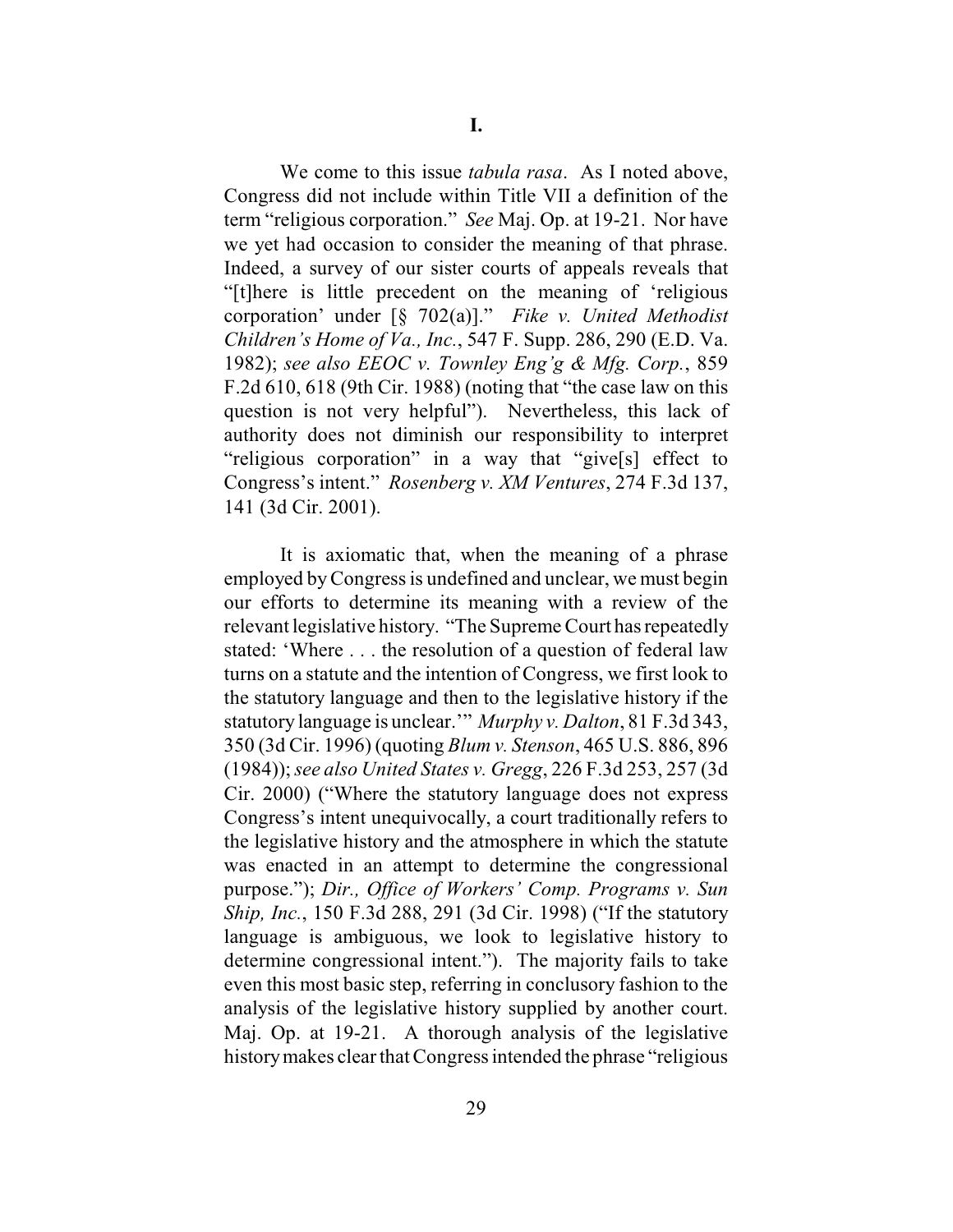We come to this issue *tabula rasa*. As I noted above, Congress did not include within Title VII a definition of the term "religious corporation." *See* Maj. Op. at 19-21. Nor have we yet had occasion to consider the meaning of that phrase. Indeed, a survey of our sister courts of appeals reveals that "[t]here is little precedent on the meaning of 'religious corporation' under [§ 702(a)]." *Fike v. United Methodist Children's Home of Va., Inc.*, 547 F. Supp. 286, 290 (E.D. Va. 1982); *see also EEOC v. Townley Eng'g & Mfg. Corp.*, 859 F.2d 610, 618 (9th Cir. 1988) (noting that "the case law on this question is not very helpful"). Nevertheless, this lack of authority does not diminish our responsibility to interpret "religious corporation" in a way that "give[s] effect to Congress's intent." *Rosenberg v. XM Ventures*, 274 F.3d 137, 141 (3d Cir. 2001).

It is axiomatic that, when the meaning of a phrase employed by Congress is undefined and unclear, we must begin our efforts to determine its meaning with a review of the relevant legislative history. "The Supreme Court has repeatedly stated: 'Where . . . the resolution of a question of federal law turns on a statute and the intention of Congress, we first look to the statutory language and then to the legislative history if the statutory language is unclear.'" *Murphy v. Dalton*, 81 F.3d 343, 350 (3d Cir. 1996) (quoting *Blum v. Stenson*, 465 U.S. 886, 896 (1984)); *see also United States v. Gregg*, 226 F.3d 253, 257 (3d Cir. 2000) ("Where the statutory language does not express Congress's intent unequivocally, a court traditionally refers to the legislative history and the atmosphere in which the statute was enacted in an attempt to determine the congressional purpose."); *Dir., Office of Workers' Comp. Programs v. Sun Ship, Inc.*, 150 F.3d 288, 291 (3d Cir. 1998) ("If the statutory language is ambiguous, we look to legislative history to determine congressional intent."). The majority fails to take even this most basic step, referring in conclusory fashion to the analysis of the legislative history supplied by another court. Maj. Op. at 19-21. A thorough analysis of the legislative history makes clear that Congress intended the phrase "religious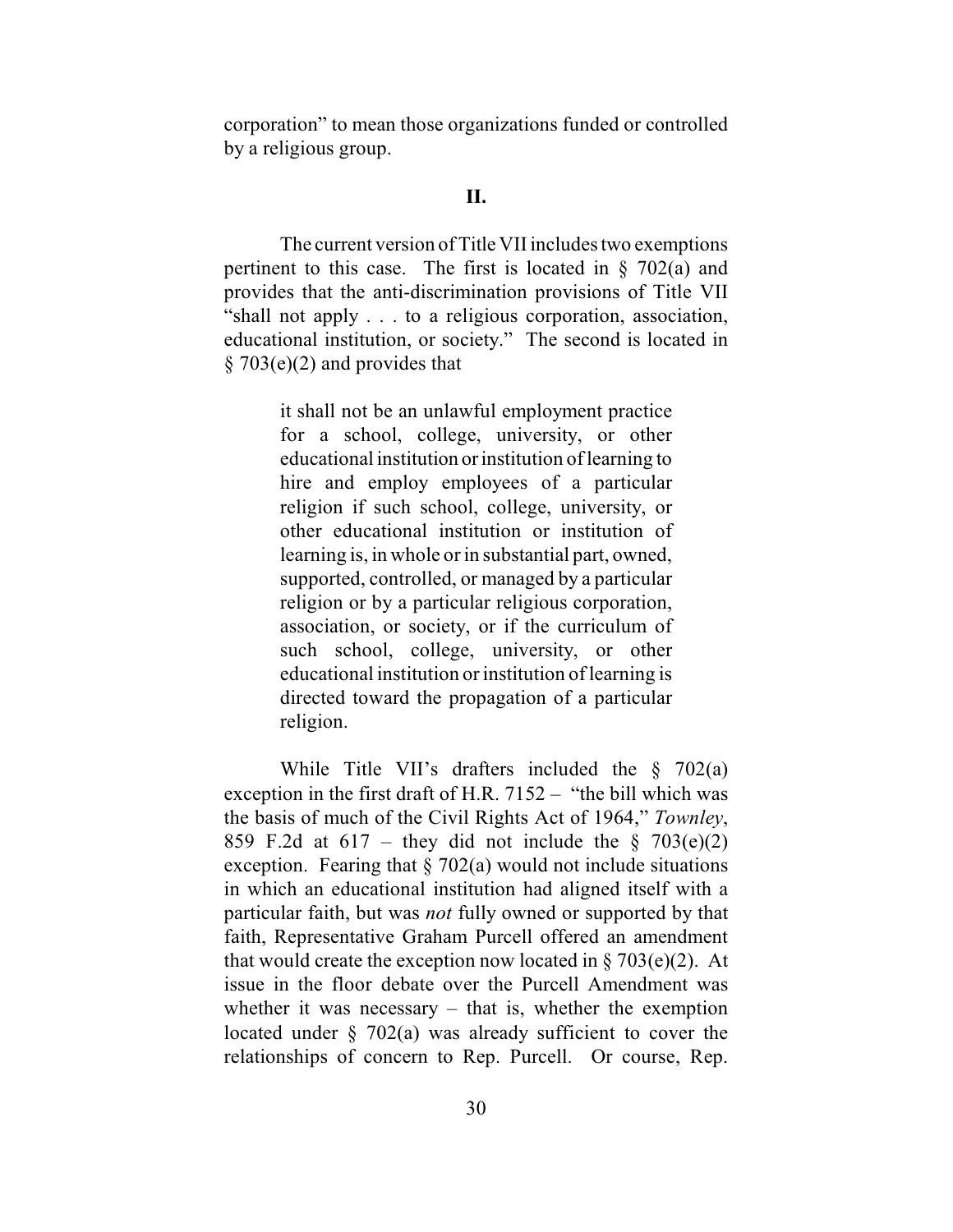corporation" to mean those organizations funded or controlled by a religious group.

# **II.**

The current version of Title VII includes two exemptions pertinent to this case. The first is located in  $\S$  702(a) and provides that the anti-discrimination provisions of Title VII "shall not apply . . . to a religious corporation, association, educational institution, or society." The second is located in  $§ 703(e)(2)$  and provides that

> it shall not be an unlawful employment practice for a school, college, university, or other educational institution or institution of learning to hire and employ employees of a particular religion if such school, college, university, or other educational institution or institution of learning is, in whole or in substantial part, owned, supported, controlled, or managed by a particular religion or by a particular religious corporation, association, or society, or if the curriculum of such school, college, university, or other educational institution or institution of learning is directed toward the propagation of a particular religion.

While Title VII's drafters included the § 702(a) exception in the first draft of H.R. 7152 – "the bill which was the basis of much of the Civil Rights Act of 1964," *Townley*, 859 F.2d at  $617$  – they did not include the § 703(e)(2) exception. Fearing that  $\S 702(a)$  would not include situations in which an educational institution had aligned itself with a particular faith, but was *not* fully owned or supported by that faith, Representative Graham Purcell offered an amendment that would create the exception now located in  $\S 703(e)(2)$ . At issue in the floor debate over the Purcell Amendment was whether it was necessary  $-$  that is, whether the exemption located under  $\S$  702(a) was already sufficient to cover the relationships of concern to Rep. Purcell. Or course, Rep.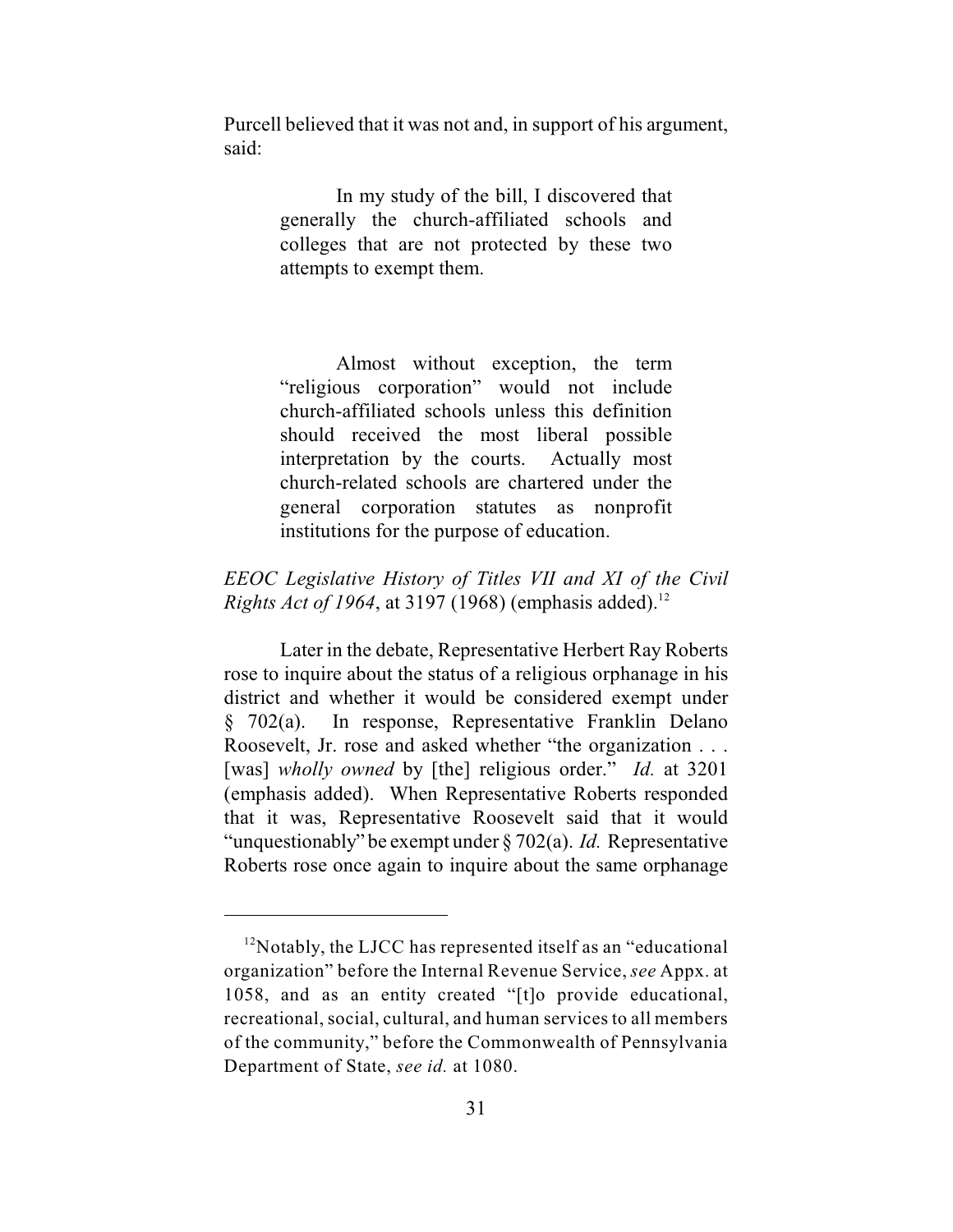Purcell believed that it was not and, in support of his argument, said:

> In my study of the bill, I discovered that generally the church-affiliated schools and colleges that are not protected by these two attempts to exempt them.

> Almost without exception, the term "religious corporation" would not include church-affiliated schools unless this definition should received the most liberal possible interpretation by the courts. Actually most church-related schools are chartered under the general corporation statutes as nonprofit institutions for the purpose of education.

# *EEOC Legislative History of Titles VII and XI of the Civil Rights Act of 1964*, at 3197 (1968) (emphasis added).<sup>12</sup>

Later in the debate, Representative Herbert Ray Roberts rose to inquire about the status of a religious orphanage in his district and whether it would be considered exempt under § 702(a). In response, Representative Franklin Delano Roosevelt, Jr. rose and asked whether "the organization . . . [was] *wholly owned* by [the] religious order." *Id.* at 3201 (emphasis added). When Representative Roberts responded that it was, Representative Roosevelt said that it would "unquestionably" be exempt under § 702(a). *Id.* Representative Roberts rose once again to inquire about the same orphanage

 $12$ Notably, the LJCC has represented itself as an "educational" organization" before the Internal Revenue Service, *see* Appx. at 1058, and as an entity created "[t]o provide educational, recreational, social, cultural, and human services to all members of the community," before the Commonwealth of Pennsylvania Department of State, *see id.* at 1080.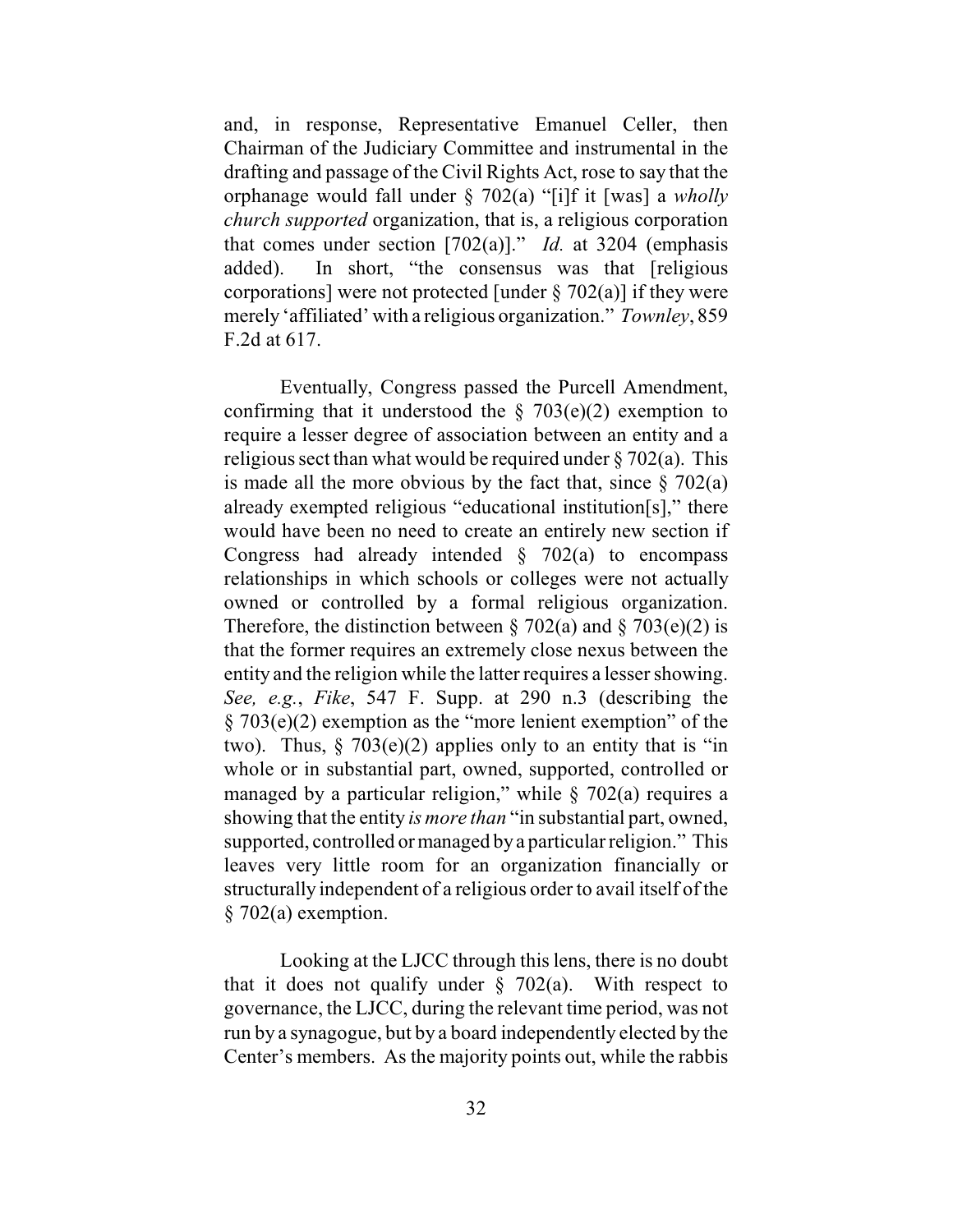and, in response, Representative Emanuel Celler, then Chairman of the Judiciary Committee and instrumental in the drafting and passage of the Civil Rights Act, rose to say that the orphanage would fall under § 702(a) "[i]f it [was] a *wholly church supported* organization, that is, a religious corporation that comes under section [702(a)]." *Id.* at 3204 (emphasis added). In short, "the consensus was that [religious corporations] were not protected [under  $\S$  702(a)] if they were merely 'affiliated' with a religious organization." *Townley*, 859 F.2d at 617.

Eventually, Congress passed the Purcell Amendment, confirming that it understood the  $\S$  703(e)(2) exemption to require a lesser degree of association between an entity and a religious sect than what would be required under  $\S 702(a)$ . This is made all the more obvious by the fact that, since  $\S$  702(a) already exempted religious "educational institution[s]," there would have been no need to create an entirely new section if Congress had already intended  $\S$  702(a) to encompass relationships in which schools or colleges were not actually owned or controlled by a formal religious organization. Therefore, the distinction between  $\S 702(a)$  and  $\S 703(e)(2)$  is that the former requires an extremely close nexus between the entity and the religion while the latter requires a lesser showing. *See, e.g.*, *Fike*, 547 F. Supp. at 290 n.3 (describing the § 703(e)(2) exemption as the "more lenient exemption" of the two). Thus,  $\S$  703(e)(2) applies only to an entity that is "in whole or in substantial part, owned, supported, controlled or managed by a particular religion," while  $\S$  702(a) requires a showing that the entity *is more than* "in substantial part, owned, supported, controlled or managed by a particular religion." This leaves very little room for an organization financially or structurally independent of a religious order to avail itself of the § 702(a) exemption.

Looking at the LJCC through thislens, there is no doubt that it does not qualify under  $\S$  702(a). With respect to governance, the LJCC, during the relevant time period, was not run by a synagogue, but by a board independently elected by the Center's members. As the majority points out, while the rabbis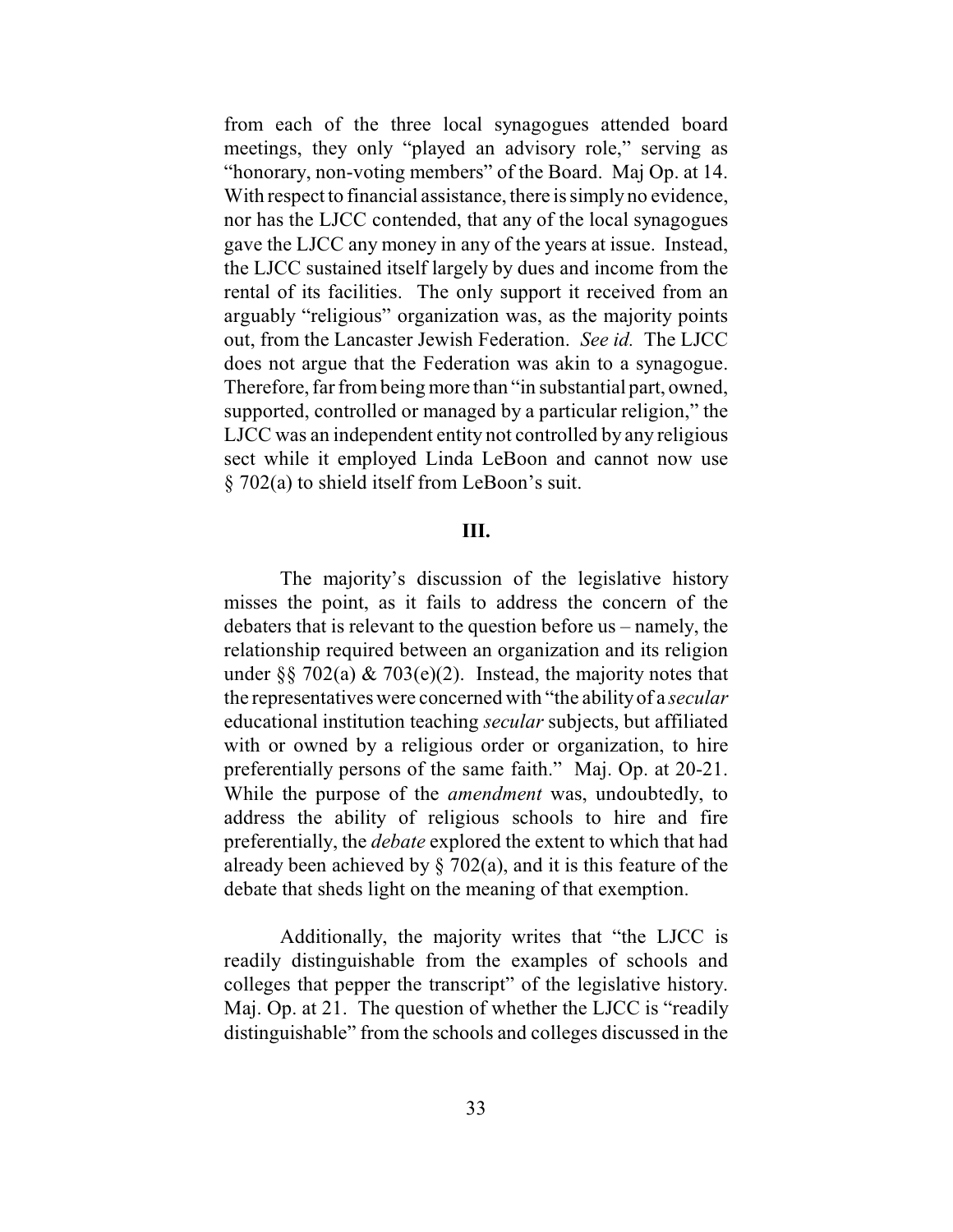from each of the three local synagogues attended board meetings, they only "played an advisory role," serving as "honorary, non-voting members" of the Board. Maj Op. at 14. With respect to financial assistance, there is simply no evidence, nor has the LJCC contended, that any of the local synagogues gave the LJCC any money in any of the years at issue. Instead, the LJCC sustained itself largely by dues and income from the rental of its facilities. The only support it received from an arguably "religious" organization was, as the majority points out, from the Lancaster Jewish Federation. *See id.* The LJCC does not argue that the Federation was akin to a synagogue. Therefore, far from being more than "in substantial part, owned, supported, controlled or managed by a particular religion," the LJCC was an independent entity not controlled by any religious sect while it employed Linda LeBoon and cannot now use § 702(a) to shield itself from LeBoon's suit.

# **III.**

The majority's discussion of the legislative history misses the point, as it fails to address the concern of the debaters that is relevant to the question before us – namely, the relationship required between an organization and its religion under §§ 702(a)  $\&$  703(e)(2). Instead, the majority notes that the representatives were concerned with "the ability of a *secular* educational institution teaching *secular* subjects, but affiliated with or owned by a religious order or organization, to hire preferentially persons of the same faith." Maj. Op. at 20-21. While the purpose of the *amendment* was, undoubtedly, to address the ability of religious schools to hire and fire preferentially, the *debate* explored the extent to which that had already been achieved by  $\S$  702(a), and it is this feature of the debate that sheds light on the meaning of that exemption.

Additionally, the majority writes that "the LJCC is readily distinguishable from the examples of schools and colleges that pepper the transcript" of the legislative history. Maj. Op. at 21. The question of whether the LJCC is "readily distinguishable" from the schools and colleges discussed in the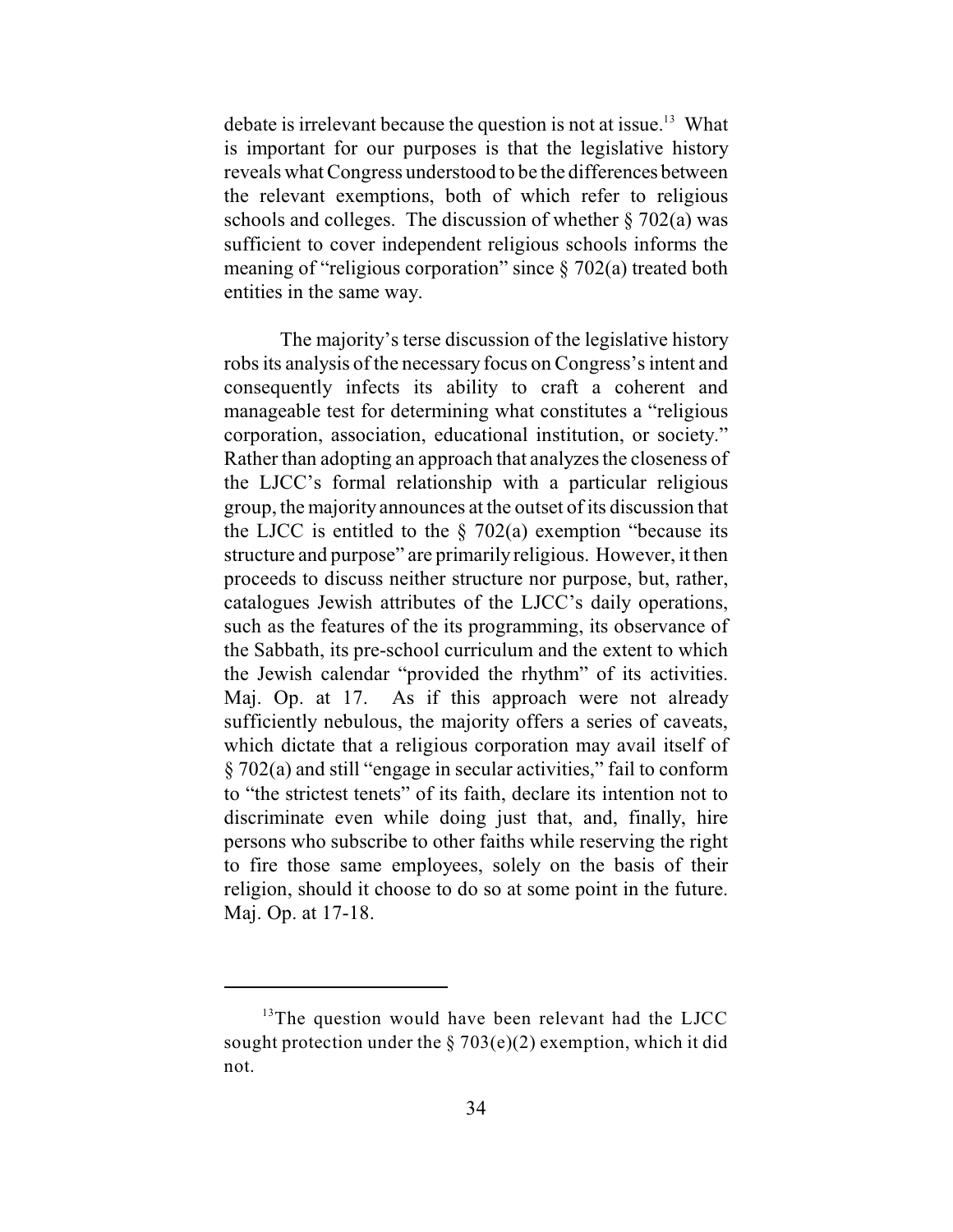debate is irrelevant because the question is not at issue.<sup>13</sup> What is important for our purposes is that the legislative history reveals what Congress understood to be the differences between the relevant exemptions, both of which refer to religious schools and colleges. The discussion of whether  $\S 702(a)$  was sufficient to cover independent religious schools informs the meaning of "religious corporation" since § 702(a) treated both entities in the same way.

The majority's terse discussion of the legislative history robs its analysis of the necessary focus on Congress's intent and consequently infects its ability to craft a coherent and manageable test for determining what constitutes a "religious corporation, association, educational institution, or society." Rather than adopting an approach that analyzes the closeness of the LJCC's formal relationship with a particular religious group, the majority announces at the outset of its discussion that the LJCC is entitled to the  $\S$  702(a) exemption "because its structure and purpose" are primarily religious. However, it then proceeds to discuss neither structure nor purpose, but, rather, catalogues Jewish attributes of the LJCC's daily operations, such as the features of the its programming, its observance of the Sabbath, its pre-school curriculum and the extent to which the Jewish calendar "provided the rhythm" of its activities. Maj. Op. at 17. As if this approach were not already sufficiently nebulous, the majority offers a series of caveats, which dictate that a religious corporation may avail itself of § 702(a) and still "engage in secular activities," fail to conform to "the strictest tenets" of its faith, declare its intention not to discriminate even while doing just that, and, finally, hire persons who subscribe to other faiths while reserving the right to fire those same employees, solely on the basis of their religion, should it choose to do so at some point in the future. Maj. Op. at 17-18.

 $13$ The question would have been relevant had the LJCC sought protection under the  $\S 703(e)(2)$  exemption, which it did not.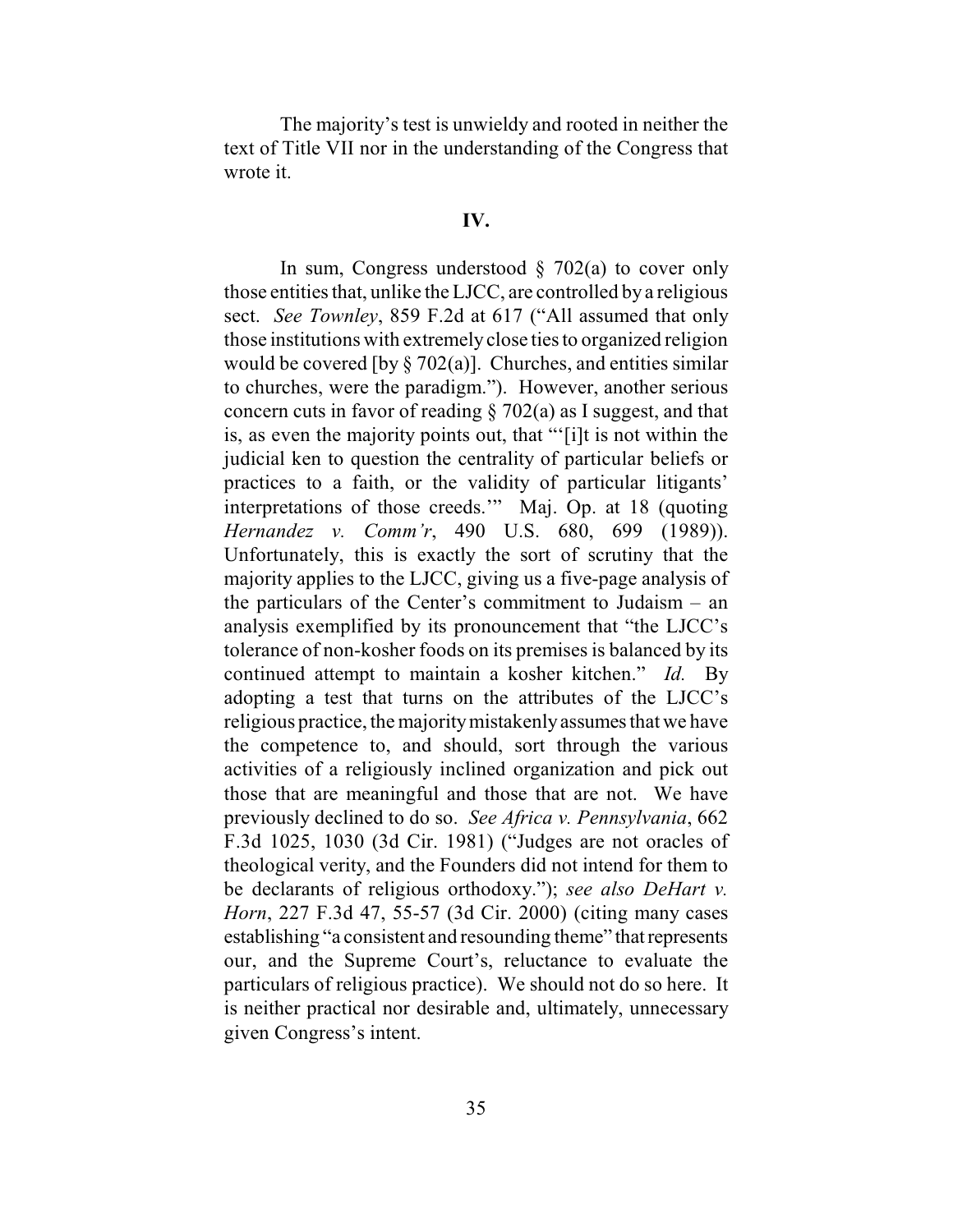The majority's test is unwieldy and rooted in neither the text of Title VII nor in the understanding of the Congress that wrote it.

#### **IV.**

In sum, Congress understood  $\S$  702(a) to cover only those entities that, unlike the LJCC, are controlled by a religious sect. *See Townley*, 859 F.2d at 617 ("All assumed that only those institutions with extremely close ties to organized religion would be covered [by  $\S 702(a)$ ]. Churches, and entities similar to churches, were the paradigm."). However, another serious concern cuts in favor of reading § 702(a) as I suggest, and that is, as even the majority points out, that "'[i]t is not within the judicial ken to question the centrality of particular beliefs or practices to a faith, or the validity of particular litigants' interpretations of those creeds.'" Maj. Op. at 18 (quoting *Hernandez v. Comm'r*, 490 U.S. 680, 699 (1989)). Unfortunately, this is exactly the sort of scrutiny that the majority applies to the LJCC, giving us a five-page analysis of the particulars of the Center's commitment to Judaism – an analysis exemplified by its pronouncement that "the LJCC's tolerance of non-kosher foods on its premises is balanced by its continued attempt to maintain a kosher kitchen." *Id.* By adopting a test that turns on the attributes of the LJCC's religious practice, the majority mistakenly assumes that we have the competence to, and should, sort through the various activities of a religiously inclined organization and pick out those that are meaningful and those that are not. We have previously declined to do so. *See Africa v. Pennsylvania*, 662 F.3d 1025, 1030 (3d Cir. 1981) ("Judges are not oracles of theological verity, and the Founders did not intend for them to be declarants of religious orthodoxy."); *see also DeHart v. Horn*, 227 F.3d 47, 55-57 (3d Cir. 2000) (citing many cases establishing "a consistent and resounding theme" that represents our, and the Supreme Court's, reluctance to evaluate the particulars of religious practice). We should not do so here. It is neither practical nor desirable and, ultimately, unnecessary given Congress's intent.